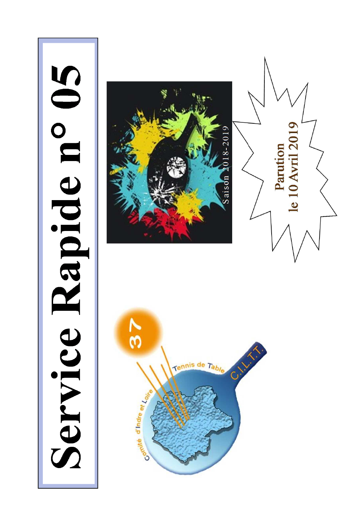# Service Rapide n° 05





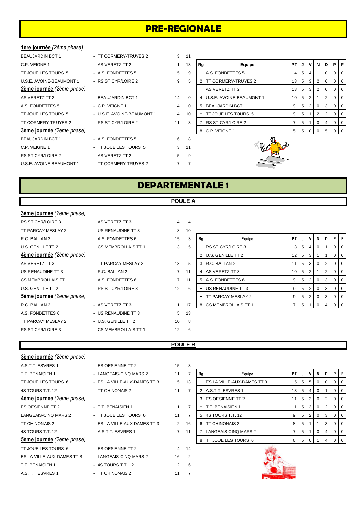# **PRE-REGIONALE**

### **1ère journée** *(2ème phase)*

| BEAUJARDIN BCT 1                             | - TT CORMERY-TRUYES 2      | 3              | 11             |
|----------------------------------------------|----------------------------|----------------|----------------|
| C.P. VEIGNE 1                                | - AS VERETZ TT 2           | 1              | 13             |
| TT JOUE LES TOURS 5                          | - A.S. FONDETTES 5         | 5              | 9              |
| U.S.E. AVOINE-BEAUMONT 1 - RS ST CYR/LOIRE 2 |                            | 9              | 5              |
| 2ème journée (2ème phase)                    |                            |                |                |
| AS VERETZ TT 2                               | - BEAUJARDIN BCT 1         | 14             | 0              |
| A.S. FONDETTES 5                             | - C.P. VEIGNE 1            | 14             | 0              |
| TT JOUE LES TOURS 5                          | - U.S.E. AVOINE-BEAUMONT 1 | $\overline{4}$ | 10             |
| TT CORMERY-TRUYES 2                          | - RS ST CYR/LOIRE 2        | 11             | 3              |
| 3ème journée (2ème phase)                    |                            |                |                |
| <b>BEAUJARDIN BCT 1</b>                      | - A.S. FONDETTES 5         | 6              | 8              |
| C.P. VEIGNE 1                                | - TT JOUE LES TOURS 5      | 3              | 11             |
| RS ST CYR/LOIRE 2                            | - AS VERETZ TT 2           | 5              | 9              |
| U.S.E. AVOINE-BEAUMONT 1 FT CORMERY-TRUYES 2 |                            | 7              | $\overline{7}$ |
|                                              |                            |                |                |

| - TT CORMERY-TRUYES 2   |
|-------------------------|
| - AS VERETZ TT 2        |
| - A.S. FONDETTES 5      |
| - RS ST CYR/LOIRE 2     |
|                         |
| - BEAUJARDIN BCT 1      |
| - C P VFIGNE 1          |
| - USE AVOINE-BEAUMONT 1 |
| - RS ST CYR/I OIRE 2    |
|                         |
| - A S FONDETTES 5       |

| DEAUJARDIIN DUT T         | - II UURMERI-IRUIESZ       |                |          |    |                                 |      |                |                     |       |     |                |                 |
|---------------------------|----------------------------|----------------|----------|----|---------------------------------|------|----------------|---------------------|-------|-----|----------------|-----------------|
| C.P. VEIGNE 1             | - AS VERETZ TT 2           |                | 13       | Rg | Equipe                          | PT I |                |                     | JIVIN | D   | PF             |                 |
| TT JOUE LES TOURS 5       | - A.S. FONDETTES 5         | 5              | -9       |    | A.S. FONDETTES 5                | 14   | 5              | 4                   |       |     | 0 <sup>1</sup> |                 |
| U.S.E. AVOINE-BEAUMONT 1  | - RS ST CYR/LOIRE 2        | 9              | 5        |    | <b>ITT CORMERY-TRUYES 2</b>     | 13   |                | $5 \quad 3 \quad 2$ |       |     |                | $\overline{1}0$ |
| 2ème journée (2ème phase) |                            |                |          |    | AS VERETZ TT 2                  | 13   |                | 5 3 1               |       |     |                | $\overline{0}$  |
| AS VERETZ TT 2            | - BEAUJARDIN BCT 1         | 14             | $\Omega$ | 4  | <b>U.S.E. AVOINE-BEAUMONT 1</b> | 10   |                | 5   2               |       |     |                | $\overline{0}$  |
| A.S. FONDETTES 5          | $-$ C.P. VEIGNE 1          | 14             | $\Omega$ | 5  | <b>BEAUJARDIN BCT 1</b>         |      |                | 5 2 1               |       |     |                | $\overline{0}$  |
| TT JOUE LES TOURS 5       | - U.S.E. AVOINE-BEAUMONT 1 | $\overline{4}$ | 10       |    | <b>TT JOUE LES TOURS 5</b>      |      | 5 <sub>1</sub> |                     |       |     |                | $\overline{0}$  |
| TT CORMERY-TRUYES 2       | - RS ST CYR/LOIRE 2        | 11             |          |    | <b>RS ST CYR/LOIRE 2</b>        |      | 5 <sub>1</sub> |                     |       |     |                | $\overline{1}0$ |
| 3ème journée (2ème phase) |                            |                |          | 8  | C.P. VEIGNE 1                   | 5    |                |                     | 5 0 0 | - 5 | $01$ 0         |                 |



# **DEPARTEMENTALE 1**

### **POULE A**

| 3ème journée (2ème phase) |                          |             |                |    |                            |    |   |                |                |   |   |    |
|---------------------------|--------------------------|-------------|----------------|----|----------------------------|----|---|----------------|----------------|---|---|----|
| <b>RS ST CYR/LOIRE 3</b>  | AS VERETZ TT 3           | 14          | $\overline{4}$ |    |                            |    |   |                |                |   |   |    |
| TT PARCAY MESLAY 2        | US RENAUDINE TT 3        | 8           | 10             |    |                            |    |   |                |                |   |   |    |
| R.C. BALLAN 2             | A.S. FONDETTES 6         | 15          | 3              | Rg | Equipe                     | PT |   | V              | N              | D | P |    |
| U.S. GENILLE TT 2         | CS MEMBROLLAIS TT 1      | 13          | 5              |    | <b>RS ST CYR/LOIRE 3</b>   | 13 | 5 | $\overline{4}$ | 0              |   | 0 | -0 |
| 4ème journée (2ème phase) |                          |             |                |    | 2 U.S. GENILLE TT 2        | 12 | 5 | 3              |                |   | 0 |    |
| AS VERETZ TT 3            | TT PARCAY MESLAY 2       | 13          | 5              |    | 3 R.C. BALLAN 2            | 11 | 5 | 3              | $\overline{0}$ | 2 | 0 | -0 |
| US RENAUDINE TT 3         | R.C. BALLAN 2            | $7^{\circ}$ | 11             |    | AS VERETZ TT 3             | 10 | 5 | 2              |                | 2 | 0 |    |
| CS MEMBROLLAIS TT 1       | A.S. FONDETTES 6         | $7^{\circ}$ | 11             |    | 5 A.S. FONDETTES 6         | 9  | 5 | $\overline{2}$ | $\overline{0}$ | 3 | 0 |    |
| U.S. GENILLE TT 2         | <b>RS ST CYR/LOIRE 3</b> | 12          | 6              |    | US RENAUDINE TT 3          | 9  | 5 | $\overline{2}$ | 0              | 3 | 0 |    |
| 5ème journée (2ème phase) |                          |             |                |    | TT PARCAY MESLAY 2         | 9  | 5 | $\overline{2}$ | $\overline{0}$ | 3 | 0 | O  |
| R.C. BALLAN 2             | - AS VERETZ TT 3         |             | 17             | 8  | <b>CS MEMBROLLAIS TT 1</b> | 7  | 5 |                | 0              |   |   |    |
| A.S. FONDETTES 6          | - US RENAUDINE TT 3      | $5^{\circ}$ | 13             |    |                            |    |   |                |                |   |   |    |
| TT PARCAY MESLAY 2        | - U.S. GENILLE TT 2      | 10          | 8              |    |                            |    |   |                |                |   |   |    |
| <b>RS ST CYR/LOIRE 3</b>  | - CS MEMBROLLAIS TT 1    | 12          | 6              |    |                            |    |   |                |                |   |   |    |

### **POULE B**

| <b>3ème journée</b> (2ème phase) |                              |                |                |
|----------------------------------|------------------------------|----------------|----------------|
| A.S.T.T. ESVRES 1                | - ES OESIENNE TT 2           | 15             | 3              |
| T.T. BENAISIEN 1                 | - LANGEAIS-CINQ MARS 2       | 11             | 7              |
| TT JOUE LES TOURS 6              | - ES LA VILLE-AUX-DAMES TT 3 | 5              | 13             |
| 4S TOURS T.T. 12                 | - TT CHINONAIS 2             | 11             | $\overline{7}$ |
| <b>4ème journée</b> (2ème phase) |                              |                |                |
| ES OESIENNE TT 2                 | - T.T. BENAISIEN 1           | 11             | 7              |
| LANGEAIS-CINQ MARS 2             | - TT JOUE LES TOURS 6        | 11             | $\overline{7}$ |
| <b>TT CHINONAIS 2</b>            | - ES LA VILLE-AUX-DAMES TT 3 | $\mathcal{P}$  | 16             |
| 4S TOURS T.T. 12                 | - A.S.T.T. ESVRES 1          | $\overline{7}$ | 11             |
| Sème journée (2ème phase)        |                              |                |                |
| TT JOUE LES TOURS 6              | - ES OESIENNE TT 2           | 4              | 14             |
| ES LA VILLE-AUX-DAMES TT 3       | - LANGEAIS-CINQ MARS 2       | 16             | $\overline{2}$ |
| T.T. BENAISIEN 1                 | - 4S TOURS T.T. 12           | 12             | 6              |
| A.S.T.T. ESVRES 1                | - TT CHINONAIS 2             | 11             | 7              |

| A.Ə. I . I . EƏVKEƏ I     | - ESUESIENNE I I Z           | ıэ             |    |    |                                   |                      |                                                                 |    |          |          |                |  |
|---------------------------|------------------------------|----------------|----|----|-----------------------------------|----------------------|-----------------------------------------------------------------|----|----------|----------|----------------|--|
| T.T. BENAISIEN 1          | - LANGEAIS-CINQ MARS 2       | 11             |    | Rg | Equipe                            | PTIJ                 |                                                                 | ΙV | N        | D I      | PF             |  |
| TT JOUE LES TOURS 6       | - ES LA VILLE-AUX-DAMES TT 3 | 5              | 13 |    | <b>ES LA VILLE-AUX-DAMES TT 3</b> | $15 \quad 5 \quad 5$ |                                                                 |    | $\Omega$ | $\Omega$ | $01$ 0         |  |
| 4S TOURS T.T. 12          | - TT CHINONAIS 2             | 11             |    |    | 2 A.S.T.T. ESVRES 1               |                      | $13 \mid 5 \mid 4$                                              |    | 0        |          | $0$   0        |  |
| 4ème journée (2ème phase) |                              |                |    |    | <b>IES OESIENNE TT 2</b>          |                      | $\begin{array}{ c c c c c } \hline 5 & 3 \\ \hline \end{array}$ |    | 0        | 2        | $01$ 0         |  |
| ES OESIENNE TT 2          | - T.T. BENAISIEN 1           | 11             |    |    | <b>T.T. BENAISIEN 1</b>           |                      | 5 3                                                             |    | $\Omega$ | 2        | $01$ 0         |  |
| LANGEAIS-CINQ MARS 2      | - TT JOUE LES TOURS 6        | 11             |    |    | 5 4S TOURS T.T. 12                | 9                    | 5                                                               |    | $\Omega$ | 3        | $01$ 0         |  |
| TT CHINONAIS 2            | - ES LA VILLE-AUX-DAMES TT 3 | $\overline{2}$ | 16 | 6  | <b>ITT CHINONAIS 2</b>            | 8                    | 5                                                               |    |          | 3        | 0 <sup>1</sup> |  |
| 4S TOURS T.T. 12          | - A.S.T.T. ESVRES 1          | 7              | 11 |    | LANGEAIS-CINQ MARS 2              |                      | 5                                                               |    |          |          | 0 <sup>1</sup> |  |
| 5ème journée (2ème phase) |                              |                |    |    | TT JOUE LES TOURS 6               | 6                    | 5                                                               |    |          |          | $0$   0        |  |
|                           |                              |                |    |    |                                   |                      |                                                                 |    |          |          |                |  |



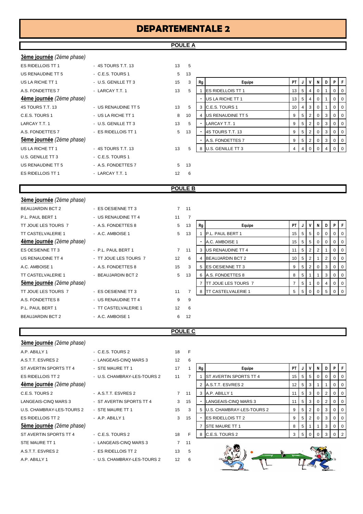# **DEPARTEMENTALE 2**

# **POULE A**

| 3ème journée (2ème phase)        |                     |    |    |
|----------------------------------|---------------------|----|----|
| <b>ES RIDELLOIS TT 1</b>         | - 4S TOURS T.T. 13  | 13 | 5  |
| US RENAUDINE TT 5                | - C.E.S. TOURS 1    | 5  | 13 |
| US LA RICHE TT 1                 | - U.S. GENILLE TT 3 | 15 | 3  |
| A.S. FONDETTES 7                 | - LARCAY T.T. 1     | 13 | 5  |
| <b>4ème journée</b> (2ème phase) |                     |    |    |
| 4S TOURS T.T. 13                 | - US RENAUDINE TT 5 | 13 | 5  |
| C.E.S. TOURS 1                   | - US LA RICHE TT 1  | 8  | 10 |
| LARCAY T.T. 1                    | - U.S. GENILLE TT 3 | 13 | 5  |
| A.S. FONDETTES 7                 | - ES RIDELLOIS TT 1 | 5  | 13 |
| <b>5ème journée</b> (2ème phase) |                     |    |    |
| US LA RICHE TT 1                 | - 4S TOURS T.T. 13  | 13 | 5  |
| U.S. GENILLE TT 3                | - C.E.S. TOURS 1    |    |    |
| US RENAUDINE TT 5                | - A.S. FONDETTES 7  | 5  | 13 |
| <b>ES RIDELLOIS TT 1</b>         | - LARCAY T.T. 1     | 12 | 6  |

| US RENAUDINE TT 5         | - C.E.S. TOURS 1    | 5. | 13 |    |                           |                 |                |                         |          |   |                |                |
|---------------------------|---------------------|----|----|----|---------------------------|-----------------|----------------|-------------------------|----------|---|----------------|----------------|
| US LA RICHE TT 1          | - U.S. GENILLE TT 3 | 15 | 3  | Rg | Equipe                    | PT I            |                |                         | N        | D | PF             |                |
| A.S. FONDETTES 7          | - LARCAY T.T. 1     | 13 | 5  |    | <b>IES RIDELLOIS TT 1</b> | 13 I            | 5              | 4                       | 0        |   |                | 0 <sub>0</sub> |
| 4ème journée (2ème phase) |                     |    |    |    | US LA RICHE TT 1          | 13 <sup>1</sup> | 5              | 4                       | 0        |   | 0 <sub>0</sub> |                |
| 4S TOURS T.T. 13          | - US RENAUDINE TT 5 | 13 | 5  |    | 3 C.E.S. TOURS 1          | 10 I            | $\overline{4}$ | -3                      | $\Omega$ |   | 0 <sub>0</sub> |                |
| C.E.S. TOURS 1            | - US LA RICHE TT 1  | 8  | 10 |    | 4 US RENAUDINE TT 5       | 9               | 5              | 2                       | $\Omega$ | 3 | 0 <sub>0</sub> |                |
| LARCAY T.T. 1             | - U.S. GENILLE TT 3 | 13 | 5  |    | LARCAY T.T. 1             | 9               | 5              | $^{\circ}$ 2 $^{\circ}$ | $\Omega$ | 3 | 0 <sub>0</sub> |                |
| A.S. FONDETTES 7          | - ES RIDELLOIS TT 1 | 5  | 13 |    | 4S TOURS T.T. 13          | 9               | 5              |                         | 0        | 3 | 0 <sub>0</sub> |                |
| 5ème journée (2ème phase) |                     |    |    |    | A.S. FONDETTES 7          |                 | 5              |                         | $\Omega$ | 3 | 0 <sub>0</sub> |                |
| US LA RICHE TT 1          | - 4S TOURS T.T. 13  | 13 | 5  |    | 8 U.S. GENILLE TT 3       |                 |                |                         |          |   |                | 0 <sub>0</sub> |
|                           |                     |    |    |    |                           |                 |                |                         |          |   |                |                |

### **POULE B**

| 3ème journée (2ème phase)        |                       |             |                |    |                            |                 |                |                 |                |             |             |   |
|----------------------------------|-----------------------|-------------|----------------|----|----------------------------|-----------------|----------------|-----------------|----------------|-------------|-------------|---|
| <b>BEAUJARDIN BCT 2</b>          | - ES OESIENNE TT 3    |             | $7 \quad 11$   |    |                            |                 |                |                 |                |             |             |   |
| P.L. PAUL BERT 1                 | - US RENAUDINE TT 4   | 11          | 7              |    |                            |                 |                |                 |                |             |             |   |
| TT JOUE LES TOURS 7              | - A.S. FONDETTES 8    | 5           | 13             | Rg | Equipe                     | PT I            | J              | V               | N              | D           | P           | F |
| <b>TT CASTELVALERIE 1</b>        | - A.C. AMBOISE 1      | $5^{\circ}$ | 13             |    | P.L. PAUL BERT 1           | 15 <sup>1</sup> |                | $5 \quad 5$     | $\overline{0}$ | 0           | $0\vert 0$  |   |
| 4ème journée (2ème phase)        |                       |             |                |    | A.C. AMBOISE 1             | 15 <sup>1</sup> | 5 <sub>1</sub> | 5 <sub>5</sub>  | 0              | 0           | $0$   0     |   |
| ES OESIENNE TT 3                 | - P.L. PAUL BERT 1    | $7^{\circ}$ | 11             | 3  | US RENAUDINE TT 4          | 11              |                | $5 \mid 2 \mid$ | 2              |             | $0 \quad 0$ |   |
| US RENAUDINE TT 4                | - TT JOUE LES TOURS 7 | 12          | 6              | 4  | <b>BEAUJARDIN BCT 2</b>    | 10 <sup>1</sup> | 5 <sup>1</sup> | $\overline{2}$  |                | 2           | $0 \mid 0$  |   |
| A.C. AMBOISE 1                   | - A.S. FONDETTES 8    | 15          | 3              | 5  | <b>ES OESIENNE TT 3</b>    | 9               | 5 <sub>1</sub> | $\overline{2}$  | $\mathbf 0$    | 3           | $0$   0     |   |
| <b>TT CASTELVALERIE 1</b>        | - BEAUJARDIN BCT 2    | $5^{\circ}$ | 13             | 6  | A.S. FONDETTES 8           | 8               | 5 <sup>1</sup> |                 |                | 3           | $0 \mid 0$  |   |
| <b>5ème journée</b> (2ème phase) |                       |             |                |    | <b>TT JOUE LES TOURS 7</b> | $7^{\circ}$     | 5 <sup>1</sup> |                 | $\overline{0}$ | 4           | $0 \mid 0$  |   |
| TT JOUE LES TOURS 7              | - ES OESIENNE TT 3    | 11          | $\overline{7}$ |    | 8 TT CASTELVALERIE 1       | 5 <sup>5</sup>  | $5 \mid$       | $\overline{0}$  | $\overline{0}$ | $5^{\circ}$ | $0 \quad 0$ |   |
| A.S. FONDETTES 8                 | - US RENAUDINE TT 4   | 9           | 9              |    |                            |                 |                |                 |                |             |             |   |
| P.L. PAUL BERT 1                 | - TT CASTELVALERIE 1  | 12          | 6              |    |                            |                 |                |                 |                |             |             |   |
| <b>BEAUJARDIN BCT 2</b>          | - A.C. AMBOISE 1      | 6           | 12             |    |                            |                 |                |                 |                |             |             |   |

### **POULE C**

| 3ème journée (2ème phase)        |                             |                |                |
|----------------------------------|-----------------------------|----------------|----------------|
| A.P. ABILLY 1                    | - C.E.S. TOURS 2            | 18             | F              |
| A.S.T.T. ESVRES 2                | - LANGEAIS-CINQ MARS 3      | 12             | 6              |
| ST AVERTIN SPORTS TT 4           | - STE MAURE TT 1            | 17             | 1              |
| <b>ES RIDELLOIS TT 2</b>         | - U.S. CHAMBRAY-LES-TOURS 2 | 11             | $\overline{7}$ |
| <b>4ème journée</b> (2ème phase) |                             |                |                |
| C.E.S. TOURS 2                   | - A.S.T.T. ESVRES 2         | $\overline{7}$ | 11             |
| LANGEAIS-CINO MARS 3             | - ST AVERTIN SPORTS TT 4    | 3              | 15             |
| U.S. CHAMBRAY-LES-TOURS 2        | - STE MAURE TT 1            | 15             | 3              |
| <b>ES RIDELLOIS TT 2</b>         | - A.P. ABILLY 1             | 3              | 15             |
| <b>5ème journée</b> (2ème phase) |                             |                |                |
| ST AVERTIN SPORTS TT 4           | $-C.E.S. TOLRS2$            | 18             | F              |
| STE MAURE TT 1                   | - LANGEAIS-CINQ MARS 3      | $\overline{7}$ | 11             |
| A.S.T.T. ESVRES 2                | - ES RIDELLOIS TT 2         | 13             | 5              |
| A.P. ABILLY 1                    | - U.S. CHAMBRAY-LES-TOURS 2 | 12             | 6              |

| - LANGEAIS-CINO MARS 3      | 1 |
|-----------------------------|---|
| - STE MAURE TT 1            | 1 |
| - U.S. CHAMBRAY-LES-TOURS 2 | 1 |
|                             |   |
| - A.S.T.T. ESVRES 2         |   |
| - ST AVERTIN SPORTS TT 4    |   |
| - STE MAURE TT 1            | 1 |
| - AP ABIIIY1                |   |
|                             |   |
| - C.E.S. TOURS 2            | 1 |
| - LANGEAIS-CINO MARS 3      |   |
| - ES RIDELLOIS TT 2         | 1 |
| - U.S. CHAMBRAY-LES-TOURS 2 | 1 |
|                             |   |

| A.S.T.T. ESVRES 2                | - LANGEAIS-CINQ MARS 3      | 12 | 6  |    |                               |                 |                |                 |             |          |                |    |
|----------------------------------|-----------------------------|----|----|----|-------------------------------|-----------------|----------------|-----------------|-------------|----------|----------------|----|
| ST AVERTIN SPORTS TT 4           | - STE MAURE TT 1            | 17 |    | Rg | Equipe                        | PT              | J              | V               | N           | D        | P.             | -F |
| ES RIDELLOIS TT 2                | - U.S. CHAMBRAY-LES-TOURS 2 | 11 |    |    | <b>ST AVERTIN SPORTS TT 4</b> | 15              |                | $5 \mid 5 \mid$ | - 0         | $\Omega$ | $01$ 0         |    |
| <b>4ème journée</b> (2ème phase) |                             |    |    |    | A.S.T.T. ESVRES 2             | 12 <sup>1</sup> |                | 5 3             |             |          | $01$ 0         |    |
| C.E.S. TOURS 2                   | - A.S.T.T. ESVRES 2         |    | 11 | 3  | A.P. ABILLY 1                 |                 |                | $5 \mid 3 \mid$ |             | 2        | 0 <sup>1</sup> |    |
| LANGEAIS-CINQ MARS 3             | - ST AVERTIN SPORTS TT 4    | 3  | 15 |    | LANGEAIS-CINQ MARS 3          | 11              |                | 5 3 1           | - 0         | 2        | $0$   0        |    |
| U.S. CHAMBRAY-LES-TOURS 2        | - STE MAURE TT 1            | 15 | 3  |    | 5 U.S. CHAMBRAY-LES-TOURS 2   | 9               |                | 52              | $\Omega$    | 3        | $01$ 0         |    |
| ES RIDELLOIS TT 2                | $-$ A.P. ABILLY 1           | 3  | 15 |    | <b>ES RIDELLOIS TT 2</b>      | 9               |                | $5 \mid 2$      | $\mathbf 0$ | 3        | 0 <sub>0</sub> |    |
| 5ème journée (2ème phase)        |                             |    |    |    | <b>STE MAURE TT 1</b>         | 8               | 5              |                 |             | 3        | 0 <sup>1</sup> |    |
| ST AVERTIN SPORTS TT 4           | $-C.E.S. TOURS2$            | 18 | Е  | 8  | C.E.S. TOURS 2                |                 | 5 <sup>5</sup> |                 |             | 3        | $0 \mid 2$     |    |
|                                  |                             |    |    |    |                               |                 |                |                 |             |          |                |    |

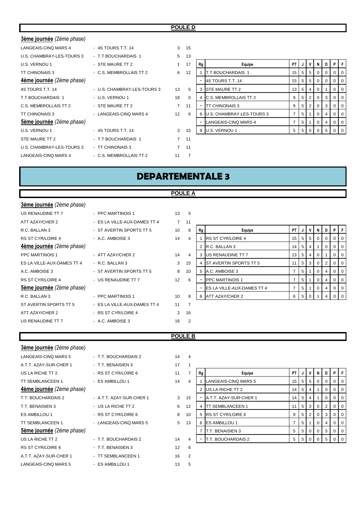### **POULE D**

| 3ème journée (2ème phase) |                             |                |                |    |                              |                 |   |                |                |             |          |    |
|---------------------------|-----------------------------|----------------|----------------|----|------------------------------|-----------------|---|----------------|----------------|-------------|----------|----|
| LANGEAIS-CINQ MARS 4      | - 4S TOURS T.T. 14          | 3              | 15             |    |                              |                 |   |                |                |             |          |    |
| U.S. CHAMBRAY-LES-TOURS 3 | - T.T BOUCHARDAIS 1         | 5              | 13             |    |                              |                 |   |                |                |             |          |    |
| U.S. VERNOU 1             | - STE MAURE TT 2            | $\mathbf{1}$   | 17             | Rg | Equipe                       | <b>PT</b>       |   | v              | N I            | D           | P        |    |
| <b>TT CHINONAIS 3</b>     | - C.S. MEMBROLLAIS TT 2     | 6              | 12             |    | <b>IT.T BOUCHARDAIS 1</b>    | 15 <sup>1</sup> | 5 | 5 <sup>5</sup> | $\overline{0}$ | $\mathbf 0$ | 0        | -0 |
| 4ème journée (2ème phase) |                             |                |                |    | 4S TOURS T.T. 14             | 15              | 5 | 5 <sup>5</sup> | $\overline{0}$ | 0           |          |    |
| 4S TOURS T.T. 14          | - U.S. CHAMBRAY-LES-TOURS 3 | 13             | 5              | 3  | <b>STE MAURE TT 2</b>        | 13 <sup>1</sup> | 5 | $\overline{4}$ | $\overline{0}$ |             | 0        | O  |
| T.T BOUCHARDAIS 1         | - U.S. VERNOU 1             | 18             | $\Omega$       |    | <b>C.S. MEMBROLLAIS TT 2</b> | 9               | 5 | $\overline{2}$ | $\overline{0}$ | 3           |          | O  |
| C.S. MEMBROLLAIS TT 2     | - STE MAURE TT 2            | $\overline{7}$ | 11             |    | <b>TT CHINONAIS 3</b>        | 9               | 5 | $\overline{2}$ | $\overline{0}$ | 3           | 0        | O  |
| <b>TT CHINONAIS 3</b>     | - LANGEAIS-CINQ MARS 4      | 12             | 6              | 6  | U.S. CHAMBRAY-LES-TOURS 3    | $\overline{7}$  | 5 |                | $\overline{0}$ | 4           | $\Omega$ | O  |
| 5ème journée (2ème phase) |                             |                |                |    | LANGEAIS-CINQ MARS 4         | $\overline{7}$  | 5 |                | $\overline{0}$ | 4           | 0        | O  |
| U.S. VERNOU 1             | - 4S TOURS T.T. 14          | 3              | 15             |    | 8 U.S. VERNOU 1              | 5               | 5 | $\mathbf{0}$   | $\Omega$       | 5           |          |    |
| STE MAURE TT 2            | - T.T BOUCHARDAIS 1         | $\overline{7}$ | 11             |    |                              |                 |   |                |                |             |          |    |
| U.S. CHAMBRAY-LES-TOURS 3 | - TT CHINONAIS 3            | $7^{\circ}$    | 11             |    |                              |                 |   |                |                |             |          |    |
| LANGEAIS-CINQ MARS 4      | - C.S. MEMBROLLAIS TT 2     | 11             | $\overline{7}$ |    |                              |                 |   |                |                |             |          |    |
|                           |                             |                |                |    |                              |                 |   |                |                |             |          |    |

# **DEPARTEMENTALE 3**

### **POULE A**

| 3ème journée (2ème phase)  |                              |                |                |    |                            |                 |   |   |                |   |                |                |
|----------------------------|------------------------------|----------------|----------------|----|----------------------------|-----------------|---|---|----------------|---|----------------|----------------|
| US RENAUDINE TT 7          | - PPC MARTINOIS 1            | 13             | 5              |    |                            |                 |   |   |                |   |                |                |
| ATT AZAY/CHER 2            | - ES LA VILLE-AUX-DAMES TT 4 | $\overline{7}$ | 11             |    |                            |                 |   |   |                |   |                |                |
| R.C. BALLAN 3              | - ST AVERTIN SPORTS TT 5     | 10             | 8              | Rg | Equipe                     | PT              |   |   | N.             | D | P              |                |
| <b>RS ST CYR/LOIRE 4</b>   | - A.C. AMBOISE 3             | 14             | 4              |    | <b>RS ST CYR/LOIRE 4</b>   | 15 <sup>1</sup> | 5 | 5 | $\overline{0}$ | 0 | $\mathbf 0$    | $\Omega$       |
| 4ème journée (2ème phase)  |                              |                |                |    | R.C. BALLAN 3              | 14              | 5 |   |                |   | $\mathbf 0$    |                |
| <b>PPC MARTINOIS 1</b>     | - ATT AZAY/CHER 2            | 14             | 4              | 3  | US RENAUDINE TT 7          | 13              | 5 | 4 | $\overline{0}$ |   | 0              | $\overline{0}$ |
| ES LA VILLE-AUX-DAMES TT 4 | - R.C. BALLAN 3              | 3              | 15             |    | ST AVERTIN SPORTS TT 5     | 11              | 5 | 3 | $\overline{0}$ | 2 | 0              | $\overline{0}$ |
| A.C. AMBOISE 3             | - ST AVERTIN SPORTS TT 5     | 8              | 10             | 5  | A.C. AMBOISE 3             | 7               | 5 |   | $\overline{0}$ | 4 | $\overline{0}$ | <b>0</b>       |
| <b>RS ST CYR/LOIRE 4</b>   | - US RENAUDINE TT 7          | 12             | 6              |    | <b>PPC MARTINOIS 1</b>     | 7               | 5 |   | $\mathbf{0}$   | 4 | $0$   0        |                |
| 5ème journée (2ème phase)  |                              |                |                |    | ES LA VILLE-AUX-DAMES TT 4 | $\overline{7}$  | 5 |   | 0              |   | $\overline{0}$ | $\overline{0}$ |
| R.C. BALLAN 3              | - PPC MARTINOIS 1            | 10             | 8              | 8  | ATT AZAY/CHER 2            | 6               | 5 | 0 |                | 4 | $0$   0        |                |
| ST AVERTIN SPORTS TT 5     | - ES LA VILLE-AUX-DAMES TT 4 | 11             | $\overline{7}$ |    |                            |                 |   |   |                |   |                |                |
| ATT AZAY/CHER 2            | - RS ST CYR/LOIRE 4          | $\overline{2}$ | 16             |    |                            |                 |   |   |                |   |                |                |
| US RENAUDINE TT 7          | - A.C. AMBOISE 3             | 16             | 2              |    |                            |                 |   |   |                |   |                |                |

### **POULE B**

| 3ème journée (2ème phase) |                          |                   |                |    |                           |                 |   |                |                |                |                |     |
|---------------------------|--------------------------|-------------------|----------------|----|---------------------------|-----------------|---|----------------|----------------|----------------|----------------|-----|
| LANGEAIS-CINQ MARS 5      | - T.T. BOUCHARDAIS 2     | 14                | $\overline{4}$ |    |                           |                 |   |                |                |                |                |     |
| A.T.T. AZAY-SUR-CHER 1    | - T.T. BENAISIEN 3       | 17                |                |    |                           |                 |   |                |                |                |                |     |
| US LA RICHE TT 2          | - RS ST CYR/LOIRE 6      | 11                | 7              | Rg | Equipe                    | PT              |   | $\mathsf{v}$   | N I            | D              | P.             |     |
| <b>TT SEMBLANCEEN 1</b>   | - ES AMBILLOU 1          | 14                | 4              |    | LANGEAIS-CINQ MARS 5      | 15 <sup>1</sup> | 5 | 5 <sub>1</sub> | $\overline{0}$ | $\mathbf 0$    | 0              | -0  |
| 4ème journée (2ème phase) |                          |                   |                |    | 2 US LA RICHE TT 2        | 14              | 5 | 4              |                | 0              |                |     |
| T.T. BOUCHARDAIS 2        | - A.T.T. AZAY-SUR-CHER 1 | 3                 | 15             |    | A.T.T. AZAY-SUR-CHER 1    | 14              | 5 | $\overline{4}$ |                | $\mathbf 0$    | $\overline{0}$ | O   |
| T.T. BENAISIEN 3          | - US LA RICHE TT 2       | 6                 | 12             | 4  | <b>ITT SEMBLANCEEN 1</b>  | 11              | 5 | 3              | 0 <sup>1</sup> | 2              | 0              |     |
| ES AMBILLOU 1             | - RS ST CYR/LOIRE 6      | 8                 | 10             |    | 5 RS ST CYR/LOIRE 6       | 9               | 5 | 2 <sup>1</sup> | $\overline{0}$ | 3              | 0              | O   |
| TT SEMBLANCEEN 1          | - LANGEAIS-CINQ MARS 5   | 5 <sup>5</sup>    | 13             | 6  | <b>ES AMBILLOU 1</b>      | 7               | 5 |                | 0 <sup>1</sup> | 4              | 0              | O   |
| 5ème journée (2ème phase) |                          |                   |                |    | T.T. BENAISIEN 3          | 5               | 5 | $\overline{0}$ | $\overline{0}$ | 5 <sup>1</sup> | $\Omega$       | O   |
| US LA RICHE TT 2          | - T.T. BOUCHARDAIS 2     | 14                | 4              |    | <b>T.T. BOUCHARDAIS 2</b> | 5               | 5 | $\mathbf{0}$   | $\Omega$       | 5              |                | - 0 |
| RS ST CYR/LOIRE 6         | - T.T. BENAISIEN 3       | $12 \overline{ }$ | 6              |    |                           |                 |   |                |                |                |                |     |
| A.T.T. AZAY-SUR-CHER 1    | - TT SEMBLANCEEN 1       | 16                | $\overline{2}$ |    |                           |                 |   |                |                |                |                |     |
| LANGEAIS-CINQ MARS 5      | - ES AMBILLOU 1          | 13                | 5              |    |                           |                 |   |                |                |                |                |     |

| A.T.T. AZAY-SUR-CHER 1    | - T.T. BENAISIEN 3       | 17 |    |    |                           |    |                |                 |          |          |                |                |
|---------------------------|--------------------------|----|----|----|---------------------------|----|----------------|-----------------|----------|----------|----------------|----------------|
| US LA RICHE TT 2          | - RS ST CYR/LOIRE 6      | 11 |    | Rg | Equipe                    | PT | J              | V               | N        | D        | P.             | $\mathsf{F}$   |
| TT SEMBLANCEEN 1          | - ES AMBILLOU 1          | 14 | 4  |    | LANGEAIS-CINQ MARS 5      | 15 |                | $5 \mid 5 \mid$ |          | $\Omega$ | $01$ 0         |                |
| 4ème journée (2ème phase) |                          |    |    |    | US LA RICHE TT 2          | 14 | 5              | 4               |          | $\Omega$ | $01$ 0         |                |
| T.T. BOUCHARDAIS 2        | - A.T.T. AZAY-SUR-CHER 1 | 3  | 15 |    | A.T.T. AZAY-SUR-CHER 1    | 14 | 5              |                 |          | $\Omega$ | $\overline{0}$ | $\overline{0}$ |
| T.T. BENAISIEN 3          | - US LA RICHE TT 2       | 6  | 12 |    | <b>TT SEMBLANCEEN 1</b>   | 11 | 5 <sup>1</sup> | - 3 I           | -0       | 2        | $\Omega$       | 0              |
| ES AMBILLOU 1             | - RS ST CYR/LOIRE 6      | 8  | 10 |    | 5 RS ST CYR/LOIRE 6       | 9  |                | $5 \mid 2 \mid$ | 0        | 3        | $01$ 0         |                |
| TT SEMBLANCEEN 1          | - LANGEAIS-CINQ MARS 5   | 5  | 13 | 6. | <b>ES AMBILLOU 1</b>      |    | 5              |                 | $\Omega$ | 4        | $01$ 0         |                |
| 5ème journée (2ème phase) |                          |    |    |    | <b>T.T. BENAISIEN 3</b>   | 5  | 5 <sup>1</sup> | $\Omega$        | $\Omega$ | 5        | $01$ 0         |                |
| US LA RICHE TT 2          | - T.T. BOUCHARDAIS 2     | 14 |    |    | <b>T.T. BOUCHARDAIS 2</b> | 5  | 5 <sup>1</sup> |                 |          | 5        | 0 <sup>1</sup> |                |
|                           |                          |    |    |    |                           |    |                |                 |          |          |                |                |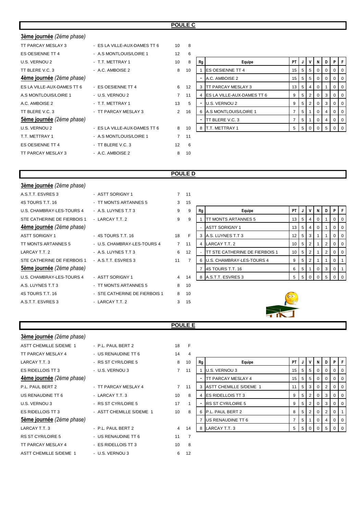### **POULE C**

| 3ème journée (2ème phase)  |                              |             |              |    |                              |                |    |                |                |                |                |     |
|----------------------------|------------------------------|-------------|--------------|----|------------------------------|----------------|----|----------------|----------------|----------------|----------------|-----|
| TT PARCAY MESLAY 3         | - ES LA VILLE-AUX-DAMES TT 6 | 10          | $^{\circ}$ 8 |    |                              |                |    |                |                |                |                |     |
| ES OESIENNE TT 4           | - A.S MONTLOUIS/LOIRE 1      | 12          | 6            |    |                              |                |    |                |                |                |                |     |
| U.S. VERNOU 2              | - T.T. METTRAY 1             | 10          | 8            | Rg | Equipe                       | PT             |    |                | N              |                |                |     |
| TT BLERE V.C. 3            | - A.C. AMBOISE 2             | 8           | 10           |    | <b>IES OESIENNE TT 4</b>     | 15             | -5 | 5 <sup>5</sup> | $\overline{0}$ | $\overline{0}$ | $\Omega$       |     |
| 4ème journée (2ème phase)  |                              |             |              |    | A.C. AMBOISE 2               | 15             | 5  | 5              | 0              |                |                |     |
| ES LA VILLE-AUX-DAMES TT 6 | - ES OESIENNE TT 4           | 6           | 12           |    | <b>ITT PARCAY MESLAY 3</b>   | 13             | 5  | 4              | $\overline{0}$ |                | 0              | -0  |
| A.S MONTLOUIS/LOIRE 1      | - U.S. VERNOU 2              | $7^{\circ}$ | 11           |    | 4 ES LA VILLE-AUX-DAMES TT 6 | 9              | 5  | $\mathbf{2}$   | $\overline{0}$ | 3              |                |     |
| A.C. AMBOISE 2             | - T.T. METTRAY 1             | 13          | 5            |    | U.S. VERNOU 2                | 9              | 5  | 2              | $\overline{0}$ | 3              | 0              | O   |
| TT BLERE V.C. 3            | - TT PARCAY MESLAY 3         | 2           | 16           |    | A.S MONTLOUIS/LOIRE 1        | 7              | 5  |                | $\overline{0}$ | 4              | 0              |     |
| 5ème journée (2ème phase)  |                              |             |              |    | TT BLERE V.C. 3              | $\overline{7}$ | 5  |                | $\overline{0}$ | 4              | $\overline{0}$ | - 0 |
| U.S. VERNOU 2              | - ES LA VILLE-AUX-DAMES TT 6 | 8           | 10           | -8 | T.T. METTRAY 1               | 5              | -5 | $\Omega$       | $\Omega$       | 5              |                |     |
| T.T. METTRAY 1             | - A.S MONTLOUIS/LOIRE 1      | $7^{\circ}$ | 11           |    |                              |                |    |                |                |                |                |     |
| ES OESIENNE TT 4           | - TT BLERE V.C. 3            | 12          | 6            |    |                              |                |    |                |                |                |                |     |
| TT PARCAY MESLAY 3         | - A.C. AMBOISE 2             | 8           | 10           |    |                              |                |    |                |                |                |                |     |

| 6  |    |                            |    |   |                |   |          |          |          |
|----|----|----------------------------|----|---|----------------|---|----------|----------|----------|
| 8  | Rg | Equipe                     | PT | J | ۷              | N | D        | P        | F        |
| 10 | 1  | <b>ES OESIENNE TT 4</b>    | 15 | 5 | 5              | 0 | 0        | 0        | 0        |
|    |    | A.C. AMBOISE 2             | 15 | 5 | 5              | 0 | $\Omega$ | 0        | $\Omega$ |
| 12 | 3  | TT PARCAY MESLAY 3         | 13 | 5 | 4              | 0 | 1        | 0        | $\Omega$ |
| 11 | 4  | ES LA VILLE-AUX-DAMES TT 6 | 9  | 5 | 2              | 0 | 3        | 0        | $\Omega$ |
| 5  |    | U.S. VERNOU 2              | 9  | 5 | $\overline{2}$ | 0 | 3        | $\Omega$ | $\Omega$ |
| 16 | 6  | A.S MONTLOUIS/LOIRE 1      | 7  | 5 | 1              | 0 | 4        | 0        | 0        |
|    |    | TT BLERE V.C. 3            | 7  | 5 | 1              | 0 | 4        | 0        | $\Omega$ |
| 10 | 8  | T.T. METTRAY 1             | 5  | 5 | $\Omega$       | O | 5        | ი        | ∩        |

## **POULE D**

| 3ème journée (2ème phase)   |                               |                |                |    |                                  |                 |                 |          |                |             |          |    |
|-----------------------------|-------------------------------|----------------|----------------|----|----------------------------------|-----------------|-----------------|----------|----------------|-------------|----------|----|
| A.S.T.T. ESVRES 3           | - ASTT SORIGNY 1              |                | $7 \quad 11$   |    |                                  |                 |                 |          |                |             |          |    |
| 4S TOURS T.T. 16            | - TT MONTS ARTANNES 5         | 3              | 15             |    |                                  |                 |                 |          |                |             |          |    |
| U.S. CHAMBRAY-LES-TOURS 4   | - A.S. LUYNES T.T 3           | 9              | 9              | Rg | Equipe                           | PT              |                 | v        | N              | D           | PIF      |    |
| STE CATHERINE DE FIERBOIS 1 | - LARCAY T.T. 2               | 9              | 9              |    | TT MONTS ARTANNES 5              | 13 <sup>1</sup> | 5               | 4        | 0              |             | 0        |    |
| 4ème journée (2ème phase)   |                               |                |                |    | <b>ASTT SORIGNY 1</b>            | 13              | 5               | 4        | $\overline{0}$ |             | $\Omega$ | -0 |
| <b>ASTT SORIGNY 1</b>       | - 4S TOURS T.T. 16            | 18             | F              |    | A.S. LUYNES T.T 3                | 12 <sub>1</sub> | .5 <sup>°</sup> | 3        |                |             | $\Omega$ |    |
| TT MONTS ARTANNES 5         | - U.S. CHAMBRAY-LES-TOURS 4   | $7^{\circ}$    | 11             |    | LARCAY T.T. 2                    | 10              | 5               | 2        |                | 2           | $\Omega$ |    |
| LARCAY T.T. 2               | - A.S. LUYNES T.T 3           | 6              | 12             |    | TT STE CATHERINE DE FIERBOIS 1   | 10 <sup>1</sup> | 5               |          |                | 2           |          |    |
| STE CATHERINE DE FIERBOIS 1 | - A.S.T.T. ESVRES 3           | 11             | $\overline{7}$ |    | <b>U.S. CHAMBRAY-LES-TOURS 4</b> | 9               | 5               | 2        |                |             | $\Omega$ |    |
| Sème journée (2ème phase)   |                               |                |                |    | 4S TOURS T.T. 16                 | 6               | 5               |          | $\overline{0}$ | 3           | 0        |    |
| U.S. CHAMBRAY-LES-TOURS 4   | - ASTT SORIGNY 1              | $\overline{4}$ | 14             |    | 8 A.S.T.T. ESVRES 3              | 5               | 5               | $\Omega$ | $\Omega$       | $5^{\circ}$ |          |    |
| A.S. LUYNES T.T 3           | - TT MONTS ARTANNES 5         | 8              | 10             |    |                                  |                 |                 |          |                |             |          |    |
| 4S TOURS T.T. 16            | - STE CATHERINE DE FIERBOIS 1 | 8              | 10             |    |                                  |                 |                 |          |                |             |          |    |
| A.S.T.T. ESVRES 3           | - LARCAY T.T. 2               | 3              | 15             |    |                                  |                 |                 |          |                |             |          |    |
|                             |                               |                |                |    |                                  |                 |                 |          |                |             |          |    |

| 5 |    |                                |    |   |                |          |   |   |   |  |
|---|----|--------------------------------|----|---|----------------|----------|---|---|---|--|
| 9 | Rg | Equipe                         | PT | J | ν              | N        | D | Р | F |  |
| 9 |    | <b>TT MONTS ARTANNES 5</b>     | 13 | 5 | 4              | $\Omega$ |   | 0 | 0 |  |
|   |    | <b>ASTT SORIGNY 1</b>          | 13 | 5 | 4              | $\Omega$ | 1 | O | 0 |  |
| F | 3  | A.S. LUYNES T.T 3              | 12 | 5 | 3              | 1        |   | O | 0 |  |
| 1 | 4  | LARCAY T.T. 2                  | 10 | 5 | 2              | 1        | 2 | 0 | 0 |  |
| 2 |    | TT STE CATHERINE DE FIERBOIS 1 | 10 | 5 | 2              |          | 2 | 0 | 0 |  |
| 7 | 6  | U.S. CHAMBRAY-LES-TOURS 4      | 9  | 5 | $\overline{2}$ | 1        | 1 | 0 |   |  |
|   | 7  | 4S TOURS T.T. 16               | 6  | 5 | 1              | 0        | 3 | 0 |   |  |
| 4 | 8  | A.S.T.T. ESVRES 3              | 5  | 5 | O              | n        | 5 |   | n |  |

### **POULE E**

| 3ème journée (2ème phase)     |                          |                |                |    |                               |     |                |                |                |   |   |    |
|-------------------------------|--------------------------|----------------|----------------|----|-------------------------------|-----|----------------|----------------|----------------|---|---|----|
| <b>ASTT CHEMILLE S/DEME 1</b> | - P.L. PAUL BERT 2       | 18             | F              |    |                               |     |                |                |                |   |   |    |
| TT PARCAY MESLAY 4            | - US RENAUDINE TT 6      | 14             | 4              |    |                               |     |                |                |                |   |   |    |
| LARCAY T.T. 3                 | - RS ST CYR/LOIRE 5      | 8              | 10             | Rg | Equipe                        | PT. |                |                |                |   |   |    |
| ES RIDELLOIS TT 3             | - U.S. VERNOU 3          | $\overline{7}$ | 11             |    | U.S. VERNOU 3                 | 15  | 5 <sub>5</sub> | 5 <sup>5</sup> | 0              |   |   |    |
| Aème journée (2ème phase)     |                          |                |                |    | TT PARCAY MESLAY 4            | 15  | 5              | 5              | 0              |   |   |    |
| P.L. PAUL BERT 2              | - TT PARCAY MESLAY 4     | $\overline{7}$ | 11             |    | <b>ASTT CHEMILLE S/DEME 1</b> | 11  | 5 <sub>5</sub> | $\mathbf{3}$   | $\overline{0}$ | 2 | 0 | -0 |
| US RENAUDINE TT 6             | - LARCAY T.T. 3          | 10             | 8              |    | <b>ES RIDELLOIS TT 3</b>      | 9   | 5              | 2              | 0              | 3 |   |    |
| U.S. VERNOU 3                 | - RS ST CYR/LOIRE 5      | 17             |                |    | <b>RS ST CYR/LOIRE 5</b>      | 9   | 5              | $\overline{2}$ | $\overline{0}$ | 3 | 0 | -0 |
| ES RIDELLOIS TT 3             | - ASTT CHEMILLE S/DEME 1 | 10             | 8              |    | P.L. PAUL BERT 2              | 8   | 5              | 2              | 0              | 2 | 0 |    |
| 5ème journée (2ème phase)     |                          |                |                |    | US RENAUDINE TT 6             | 7   | 5              |                | 0              | 4 | 0 | O  |
| LARCAY T.T. 3                 | - P.L. PAUL BERT 2       | $\overline{4}$ | 14             | 8  | LARCAY T.T. 3                 | 5   | 5 <sup>5</sup> | $\mathbf{0}$   |                | 5 |   |    |
| <b>RS ST CYR/LOIRE 5</b>      | - US RENAUDINE TT 6      | 11             | $\overline{7}$ |    |                               |     |                |                |                |   |   |    |
| TT PARCAY MESLAY 4            | - ES RIDELLOIS TT 3      | 10             | 8              |    |                               |     |                |                |                |   |   |    |
| <b>ASTT CHEMILLE S/DEME 1</b> | - U.S. VERNOU 3          | 6              | 12             |    |                               |     |                |                |                |   |   |    |

| 4  |                |                               |    |   |                |          |          |          |   |
|----|----------------|-------------------------------|----|---|----------------|----------|----------|----------|---|
| 10 | Rg             | Equipe                        | PT | J | v              | N        | D        | P        | F |
| 11 | 1              | U.S. VERNOU 3                 | 15 | 5 | 5              | $\Omega$ | 0        | 0        | O |
|    | $\blacksquare$ | TT PARCAY MESLAY 4            | 15 | 5 | 5              | $\Omega$ | $\Omega$ | 0        | 0 |
| 11 | 3              | <b>ASTT CHEMILLE S/DEME 1</b> | 11 | 5 | 3              | $\Omega$ | 2        | 0        | 0 |
| 8  | 4              | ES RIDELLOIS TT 3             | 9  | 5 | 2              | $\Omega$ | 3        | 0        | 0 |
| 1  |                | <b>RS ST CYR/LOIRE 5</b>      | 9  | 5 | $\overline{2}$ | $\Omega$ | 3        | 0        | 0 |
| 8  | 6              | P.L. PAUL BERT 2              | 8  | 5 | $\overline{2}$ | 0        | 2        | $\Omega$ |   |
|    | 7              | US RENAUDINE TT 6             | 7  | 5 | 1              | $\Omega$ | 4        | 0        | 0 |
| 14 | 8              | LARCAY T.T. 3                 | 5  | 5 | $\Omega$       | 0        | 5        | ŋ        | O |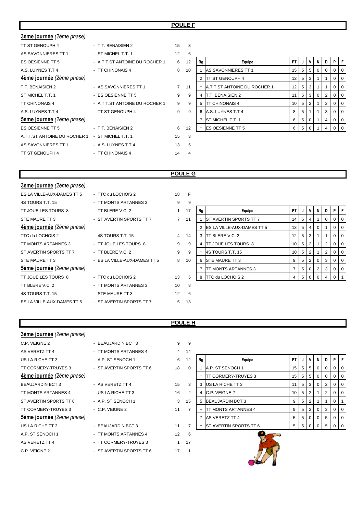### **POULE F**

| 3ème journée (2ème phase)                       |                                |                   |                         |    |                              |           |   |                |                |                   |             |   |
|-------------------------------------------------|--------------------------------|-------------------|-------------------------|----|------------------------------|-----------|---|----------------|----------------|-------------------|-------------|---|
| TT ST GENOUPH 4                                 | - T.T. BENAISIEN 2             | 15                | $\overline{\mathbf{3}}$ |    |                              |           |   |                |                |                   |             |   |
| AS SAVONNIERES TT 1                             | - ST MICHEL T.T. 1             | $12 \overline{ }$ | 6                       |    |                              |           |   |                |                |                   |             |   |
| ES OESIENNE TT 5                                | - A.T.T.ST ANTOINE DU ROCHER 1 | 6                 | 12                      | Rg | Equipe                       | <b>PT</b> | J | V              | N              | $\cdot$ D $\cdot$ | PIF         |   |
| A.S. LUYNES T.T 4                               | - TT CHINONAIS 4               | 8                 | 10                      |    | AS SAVONNIERES TT 1          | 15        | 5 | 5              | $\overline{0}$ | 0                 |             |   |
| 4ème journée (2ème phase)                       |                                |                   |                         |    | 2 TT ST GENOUPH 4            | 12        | 5 | 3              |                |                   | 0           | O |
| T.T. BENAISIEN 2                                | - AS SAVONNIERES TT 1          | $7^{\circ}$       | 11                      |    | A.T.T.ST ANTOINE DU ROCHER 1 | 12        | 5 | 3              |                |                   |             |   |
| ST MICHEL T.T. 1                                | - ES OESIENNE TT 5             | 9                 | 9                       | 4  | <b>T.T. BENAISIEN 2</b>      | 11        | 5 | 3 <sup>1</sup> | $\overline{0}$ | 2                 | 0           | O |
| <b>TT CHINONAIS 4</b>                           | - A.T.T.ST ANTOINE DU ROCHER 1 | 9                 | 9                       |    | 5 TT CHINONAIS 4             | 10        | 5 | 2              |                | 2                 |             |   |
| A.S. LUYNES T.T 4                               | - TT ST GENOUPH 4              | 9                 | 9                       |    | 6 A.S. LUYNES T.T 4          | 8         | 5 |                |                | 3                 | 0           | O |
| 5ème journée (2ème phase)                       |                                |                   |                         |    | <b>ST MICHEL T.T. 1</b>      | 6         | 5 | $\mathbf{0}$   |                | 4                 | $\mathbf 0$ | O |
| ES OESIENNE TT 5                                | - T.T. BENAISIEN 2             | 6                 | 12                      |    | <b>ES OESIENNE TT 5</b>      | 6         | 5 | $\mathbf{0}$   |                |                   |             |   |
| A.T.T.ST ANTOINE DU ROCHER 1 - ST MICHEL T.T. 1 |                                | 15                | 3                       |    |                              |           |   |                |                |                   |             |   |
| AS SAVONNIERES TT 1                             | - A.S. LUYNES T.T 4            | 13                | 5                       |    |                              |           |   |                |                |                   |             |   |
| TT ST GENOUPH 4                                 | - TT CHINONAIS 4               | 14                | 4                       |    |                              |           |   |                |                |                   |             |   |
|                                                 |                                |                   |                         |    |                              |           |   |                |                |                   |             |   |

| 6  |    |                              |    |   |          |          |                |          |          |
|----|----|------------------------------|----|---|----------|----------|----------------|----------|----------|
| 12 | Rg | Equipe                       | PT | J | ٧        | N        | D              | P        | F        |
| 10 |    | AS SAVONNIERES TT 1          | 15 | 5 | 5        | 0        | $\Omega$       | $\Omega$ | 0        |
|    | 2  | TT ST GENOUPH 4              | 12 | 5 | 3        | 1        | 1              | 0        | $\Omega$ |
| 11 |    | A.T.T.ST ANTOINE DU ROCHER 1 | 12 | 5 | 3        | 1        | 1              | 0        | 0        |
| 9  | 4  | T.T. BENAISIEN 2             | 11 | 5 | 3        | $\Omega$ | $\overline{2}$ | $\Omega$ | $\Omega$ |
| 9  | 5  | TT CHINONAIS 4               | 10 | 5 | 2        | 1        | 2              | $\Omega$ | 0        |
| 9  | 6  | A.S. LUYNES T.T 4            | 8  | 5 | 1        | 1        | 3              | $\Omega$ | 0        |
|    | 7  | ST MICHEL T.T. 1             | 6  | 5 | 0        | 1        | 4              | 0        | 0        |
| 12 |    | <b>ES OESIENNE TT 5</b>      | 6  | 5 | $\Omega$ | 1        | 4              |          | O        |
|    |    |                              |    |   |          |          |                |          |          |

### **POULE G**

| 3ème journée (2ème phase)  |                              |                |    |    |                                   |                |             |                |                |                   |                |     |
|----------------------------|------------------------------|----------------|----|----|-----------------------------------|----------------|-------------|----------------|----------------|-------------------|----------------|-----|
| ES LA VILLE-AUX-DAMES TT 5 | - TTC du LOCHOIS 2           | 18             | E  |    |                                   |                |             |                |                |                   |                |     |
| 4S TOURS T.T. 15           | - TT MONTS ARTANNES 3        | 9              | 9  |    |                                   |                |             |                |                |                   |                |     |
| TT JOUE LES TOURS 8        | - TT BLERE V.C. 2            |                | 17 | Rg | Equipe                            | <b>PT</b>      | J           | v              | N I            | $\cdot$ D $\cdot$ | PIF            |     |
| STE MAURE TT 3             | - ST AVERTIN SPORTS TT 7     | $\overline{7}$ | 11 |    | ST AVERTIN SPORTS TT 7            | 14             | $5^{\circ}$ | $\overline{4}$ |                | $\Omega$          | $\Omega$       |     |
| 4ème journée (2ème phase)  |                              |                |    |    | <b>ES LA VILLE-AUX-DAMES TT 5</b> | 13             | 5           | 4              | $\mathbf 0$    |                   | 0              |     |
| TTC du LOCHOIS 2           | - 4S TOURS T.T. 15           | $\overline{4}$ | 14 |    | TT BLERE V.C. 2                   | 12             | 5           | 3              |                |                   | $\overline{0}$ | - 0 |
| TT MONTS ARTANNES 3        | - TT JOUE LES TOURS 8        | 9              | 9  |    | <b>TT JOUE LES TOURS 8</b>        | 10             | 5           | 2              |                | 2                 | 0              |     |
| ST AVERTIN SPORTS TT 7     | - TT BLERE V.C. 2            | 9              | 9  |    | 4S TOURS T.T. 15                  | 10             | 5           | 2              |                | $\overline{2}$    | 0              | O   |
| STE MAURE TT 3             | - ES LA VILLE-AUX-DAMES TT 5 | 8              | 10 |    | <b>STE MAURE TT 3</b>             | 9              | 5           | 2              | 0              | 3                 |                |     |
| 5ème journée (2ème phase)  |                              |                |    |    | <b>ITT MONTS ARTANNES 3</b>       | $\overline{7}$ | 5           | $\mathbf{0}$   | 2 <sup>1</sup> | 3                 | $\Omega$       |     |
| TT JOUE LES TOURS 8        | - TTC du LOCHOIS 2           | 13             | 5  | 8  | TTC du LOCHOIS 2                  | 4              | 5           | $\Omega$       |                |                   |                |     |
| TT BLERE V.C. 2            | - TT MONTS ARTANNES 3        | 10             | 8  |    |                                   |                |             |                |                |                   |                |     |
| 4S TOURS T.T. 15           | - STE MAURE TT 3             | 12             | 6  |    |                                   |                |             |                |                |                   |                |     |
| ES LA VILLE-AUX-DAMES TT 5 | - ST AVERTIN SPORTS TT 7     | 5              | 13 |    |                                   |                |             |                |                |                   |                |     |
|                            |                              |                |    |    |                                   |                |             |                |                |                   |                |     |

| Rg | Equipe                     | ΡT | J | v | N        | D        | P | F        |
|----|----------------------------|----|---|---|----------|----------|---|----------|
| 1  | ST AVERTIN SPORTS TT 7     | 14 | 5 | 4 |          | $\Omega$ | 0 | 0        |
| 2  | ES LA VILLE-AUX-DAMES TT 5 | 13 | 5 | 4 | $\Omega$ |          | 0 | $\Omega$ |
| 3  | TT BLERE V.C. 2            | 12 | 5 | 3 | 1        |          | 0 | 0        |
| 4  | TT JOUE LES TOURS 8        | 10 | 5 | 2 |          | 2        | 0 | 0        |
|    | 4S TOURS T.T. 15           | 10 | 5 | 2 | 1        | 2        | 0 | 0        |
| 6  | STE MAURE TT 3             | 9  | 5 | 2 | 0        | 3        | 0 | $\Omega$ |
| 7  | TT MONTS ARTANNES 3        | 7  | 5 | 0 | 2        | 3        | 0 | 0        |
| 8  | TTC du LOCHOIS 2           | 4  | 5 | O | O        | 4        | ∩ |          |

### **POULE H**

| 3ème journée (2ème phase) |                          |                |                |    |                               |           |    |                |                |                |          |   |
|---------------------------|--------------------------|----------------|----------------|----|-------------------------------|-----------|----|----------------|----------------|----------------|----------|---|
| C.P. VEIGNE 2             | - BEAUJARDIN BCT 3       | 9              | 9              |    |                               |           |    |                |                |                |          |   |
| AS VERETZ TT 4            | - TT MONTS ARTANNES 4    | $\overline{4}$ | 14             |    |                               |           |    |                |                |                |          |   |
| US LA RICHE TT 3          | - A.P. ST SENOCH 1       | 6              | 12             | Rg | Equipe                        | <b>PT</b> |    |                | N              |                |          |   |
| TT CORMERY-TRUYES 3       | - ST AVERTIN SPORTS TT 6 | 18             | $\mathbf 0$    |    | A.P. ST SENOCH 1              | 15        | -5 | 5 <sup>5</sup> | $\overline{0}$ | $\overline{0}$ | 0        |   |
| 4ème journée (2ème phase) |                          |                |                |    | <b>TT CORMERY-TRUYES 3</b>    | 15        | 5  | 5              | 0 <sup>1</sup> | 0              |          |   |
| <b>BEAUJARDIN BCT 3</b>   | - AS VERETZ TT 4         | 15             | 3              |    | 3 US LA RICHE TT 3            | 11        | 5  | 3              | $\overline{0}$ | 2              | 0        |   |
| TT MONTS ARTANNES 4       | - US LA RICHE TT 3       | 16             | $\overline{2}$ |    | C.P. VEIGNE 2                 | 10        | 5  | 2              |                | 2              |          |   |
| ST AVERTIN SPORTS TT 6    | - A.P. ST SENOCH 1       | 3              | 15             |    | <b>BEAUJARDIN BCT 3</b>       | 9         | 5  | 2              |                |                | $\Omega$ |   |
| TT CORMERY-TRUYES 3       | - C.P. VEIGNE 2          | 11             | $\overline{7}$ |    | TT MONTS ARTANNES 4           | 9         | 5  | 2              | 0              | 3              | 0        |   |
| Sème journée (2ème phase) |                          |                |                |    | AS VERETZ TT 4                | 5         | 5  | $\overline{0}$ | $\overline{0}$ | $5^{\circ}$    |          | O |
| US LA RICHE TT 3          | - BEAUJARDIN BCT 3       | 11             | $\overline{7}$ |    | <b>ST AVERTIN SPORTS TT 6</b> | 5         | -5 | $\Omega$       | $\Omega$       |                |          |   |
| A.P. ST SENOCH 1          | - TT MONTS ARTANNES 4    | 12             | 6              |    |                               |           |    |                |                |                |          |   |
| AS VERETZ TT 4            | - TT CORMERY-TRUYES 3    | 1              | 17             |    |                               |           |    |                |                |                |          |   |
| C.P. VEIGNE 2             | - ST AVERTIN SPORTS TT 6 | 17             |                |    |                               |           |    |                |                |                |          |   |

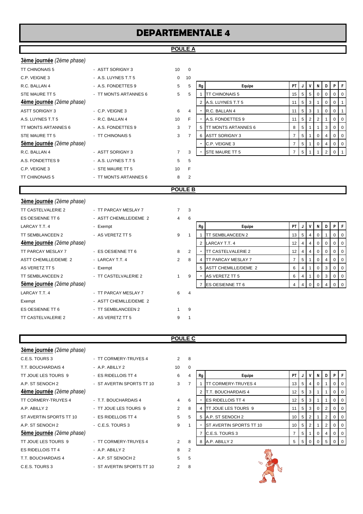# **DEPARTEMENTALE 4**

### **POULE A**

| <b>3ème journée</b> (2ème phase) |                       |                 |                |
|----------------------------------|-----------------------|-----------------|----------------|
| <b>TT CHINONAIS 5</b>            | - ASTT SORIGNY 3      | 10 <sup>1</sup> | $\Omega$       |
| C.P. VEIGNE 3                    | - A.S. LUYNES T.T 5   | $\Omega$        | 10             |
| R.C. BALLAN 4                    | - A.S. FONDETTES 9    | 5               | 5              |
| STE MAURE TT 5                   | - TT MONTS ARTANNES 6 | 5               | 5              |
| <b>4ème journée</b> (2ème phase) |                       |                 |                |
| <b>ASTT SORIGNY 3</b>            | $-$ C.P. VEIGNE 3     | 6               | $\overline{4}$ |
| A.S. LUYNES T.T 5                | - R.C. BALLAN 4       | 10              | F              |
| TT MONTS ARTANNES 6              | - A.S. FONDETTES 9    | 3               | $\overline{7}$ |
| STE MAURE TT 5                   | - TT CHINONAIS 5      | 3               | $\overline{7}$ |
| Sème journée (2ème phase)        |                       |                 |                |
| R.C. BALLAN 4                    | - ASTT SORIGNY 3      | $\overline{7}$  | 3              |
| A.S. FONDETTES 9                 | - A.S. LUYNES T.T 5   | 5               | 5              |
| C.P. VEIGNE 3                    | - STE MAURE TT 5      | 10              | F              |
| <b>TT CHINONAIS 5</b>            | - TT MONTS ARTANNES 6 | 8               | $\overline{2}$ |
|                                  |                       |                 |                |

| C.P. VEIGNE 3             | - A.S. LUYNES T.T 5   |                | 10 |    |                             |      |        |                |              |          |                |                |
|---------------------------|-----------------------|----------------|----|----|-----------------------------|------|--------|----------------|--------------|----------|----------------|----------------|
| R.C. BALLAN 4             | - A.S. FONDETTES 9    | 5              | 5  | Rg | Equipe                      | PT I | J      |                | N            | D        |                | PF             |
| STE MAURE TT 5            | - TT MONTS ARTANNES 6 | 5              | 5  |    | TT CHINONAIS 5              |      | $15$ 5 | - 5            | $\mathbf{0}$ | $\Omega$ | 0 <sub>0</sub> |                |
| 4ème journée (2ème phase) |                       |                |    |    | 2 A.S. LUYNES T.T 5         |      | 5      | -3             |              | $\Omega$ | $0$   1        |                |
| ASTT SORIGNY 3            | - C.P. VEIGNE 3       | 6              | 4  |    | R.C. BALLAN 4               |      | -5     |                |              |          | $\overline{0}$ |                |
| A.S. LUYNES T.T 5         | - R.C. BALLAN 4       | 10             |    |    | A.S. FONDETTES 9            |      | 5      | $\overline{2}$ |              |          |                | $01$ 0         |
| TT MONTS ARTANNES 6       | - A.S. FONDETTES 9    | 3              |    | 5  | <b>ITT MONTS ARTANNES 6</b> | 8    | 5      |                |              | 3        |                | 0 <sub>0</sub> |
| STE MAURE TT 5            | - TT CHINONAIS 5      | 3              |    | 6  | <b>ASTT SORIGNY 3</b>       |      | 5      |                | $\Omega$     |          |                | $01$ 0         |
| 5ème journée (2ème phase) |                       |                |    |    | C.P. VEIGNE 3               |      | 5      |                | $\Omega$     | 4        | $01$ 0         |                |
| R.C. BALLAN 4             | - ASTT SORIGNY 3      | $\overline{7}$ | 3  |    | <b>STE MAURE TT 5</b>       |      |        |                |              |          |                |                |
|                           |                       |                |    |    |                             |      |        |                |              |          |                |                |

### **POULE B**

| 3ème journée (2ème phase) |                        |                |                |    |                           |                 |   |                |                |             |             |   |
|---------------------------|------------------------|----------------|----------------|----|---------------------------|-----------------|---|----------------|----------------|-------------|-------------|---|
| TT CASTELVALERIE 2        | - TT PARCAY MESLAY 7   | $7^{\circ}$    | 3              |    |                           |                 |   |                |                |             |             |   |
| ES OESIENNE TT 6          | - ASTT CHEMILLE/DEME 2 | 4              | 6              |    |                           |                 |   |                |                |             |             |   |
| LARCAY T.T. 4             | - Exempt               |                |                | Rg | Equipe                    | PT              |   | $\mathsf{v}$   | N              | D           | P           |   |
| TT SEMBLANCEEN 2          | - AS VERETZ TT 5       | 9              |                |    | <b>TT SEMBLANCEEN 2</b>   | 13 <sup>1</sup> | 5 | $\overline{4}$ | $\overline{0}$ |             | 0           | O |
| 4ème journée (2ème phase) |                        |                |                |    | LARCAY T.T. 4             | 12              | 4 | $\overline{4}$ | $\overline{0}$ | 0           |             |   |
| TT PARCAY MESLAY 7        | - ES OESIENNE TT 6     | 8              | 2              |    | <b>TT CASTELVALERIE 2</b> | 12              | 4 | $\overline{4}$ | $\overline{0}$ | $\mathbf 0$ | $\mathbf 0$ | O |
| ASTT CHEMILLE/DEME 2      | - LARCAY T.T. 4        | $\overline{2}$ | 8              | 4  | <b>TT PARCAY MESLAY 7</b> | $\overline{7}$  | 5 |                | $\overline{0}$ |             |             |   |
| AS VERETZ TT 5            | - Exempt               |                |                |    | 5 ASTT CHEMILLE/DEME 2    | 6               | 4 |                | $\overline{0}$ | 3           | 0           | O |
| TT SEMBLANCEEN 2          | - TT CASTELVALERIE 2   |                | 9              |    | AS VERETZ TT 5            | 6               | 4 |                | $\overline{0}$ | 3           | 0           | O |
| 5ème journée (2ème phase) |                        |                |                |    | <b>ES OESIENNE TT 6</b>   | 4               | 4 | $\overline{0}$ | $\Omega$       |             | $\Omega$    |   |
| LARCAY T.T. 4             | - TT PARCAY MESLAY 7   | 6              | $\overline{4}$ |    |                           |                 |   |                |                |             |             |   |
| Exempt                    | - ASTT CHEMILLE/DEME 2 |                |                |    |                           |                 |   |                |                |             |             |   |
| ES OESIENNE TT 6          | - TT SEMBLANCEEN 2     |                | 9              |    |                           |                 |   |                |                |             |             |   |
| TT CASTELVALERIE 2        | - AS VERETZ TT 5       | 9              |                |    |                           |                 |   |                |                |             |             |   |
|                           |                        |                |                |    |                           |                 |   |                |                |             |             |   |

### **POULE C**

| 3ème journée (2ème phase)        |                           |                |                |
|----------------------------------|---------------------------|----------------|----------------|
| C.E.S. TOURS 3                   | - TT CORMERY-TRUYES 4     | $\mathcal{P}$  | 8              |
| T.T. BOUCHARDAIS 4               | - A.P. ABILLY 2           | 10             | 0              |
| TT JOUE LES TOURS 9              | - ES RIDELLOIS TT 4       | 6              | $\overline{4}$ |
| A.P. ST SENOCH 2                 | - ST AVERTIN SPORTS TT 10 | 3              | $\overline{7}$ |
| <b>4ème journée</b> (2ème phase) |                           |                |                |
| TT CORMERY-TRUYES 4              | - T.T. BOUCHARDAIS 4      | 4              | 6              |
| A.P. ABILLY 2                    | - TT JOUE LES TOURS 9     | $\overline{2}$ | 8              |
| ST AVERTIN SPORTS TT 10          | - ES RIDELLOIS TT 4       | 5              | 5              |
| A.P. ST SENOCH 2                 | $-C.E.S. TOLRS3$          | 9              | 1              |
| <b>5ème journée</b> (2ème phase) |                           |                |                |
| TT JOUE LES TOURS 9              | - TT CORMERY-TRUYES 4     | $\mathfrak{p}$ | 8              |
| <b>ES RIDELLOIS TT 4</b>         | $-$ A.P. ABILLY 2         | 8              | $\overline{2}$ |
| T.T. BOUCHARDAIS 4               | - A.P. ST SENOCH 2        | 5              | 5              |
| C.E.S. TOURS 3                   | - ST AVERTIN SPORTS TT 10 | $\mathfrak{p}$ | 8              |

| - A.P. ABILLY 2           | 10             | $\Omega$ |    |                     |                                                                                                                                                                                 |                 |                                                                                                                                        |   |                |
|---------------------------|----------------|----------|----|---------------------|---------------------------------------------------------------------------------------------------------------------------------------------------------------------------------|-----------------|----------------------------------------------------------------------------------------------------------------------------------------|---|----------------|
| - ES RIDELLOIS TT 4       | 6              | 4        | Rg | Equipe              |                                                                                                                                                                                 | V               | <b>N</b>                                                                                                                               | D | F              |
| - ST AVERTIN SPORTS TT 10 | 3              |          |    | TT CORMERY-TRUYES 4 |                                                                                                                                                                                 | 4               | 0                                                                                                                                      |   | $0$   0        |
|                           |                |          |    |                     |                                                                                                                                                                                 |                 |                                                                                                                                        |   | $0$   0        |
| - T.T. BOUCHARDAIS 4      | 4              | 6        |    |                     |                                                                                                                                                                                 |                 |                                                                                                                                        |   | $01$ 0         |
| - TT JOUE LES TOURS 9     | $\overline{2}$ | 8        |    |                     |                                                                                                                                                                                 |                 | $\overline{0}$                                                                                                                         | 2 | 0 <sub>0</sub> |
| - ES RIDELLOIS TT 4       | 5              | 5        |    |                     |                                                                                                                                                                                 |                 |                                                                                                                                        | 2 | 0 <sup>1</sup> |
| - C.E.S. TOURS 3          | 9              |          |    |                     |                                                                                                                                                                                 |                 |                                                                                                                                        | 2 | 0 <sup>1</sup> |
|                           |                |          |    |                     |                                                                                                                                                                                 |                 |                                                                                                                                        | 4 | $0$   0        |
| - TT CORMERY-TRUYES 4     | 2              | 8        | 8  |                     |                                                                                                                                                                                 |                 |                                                                                                                                        | 5 | $0$   0        |
|                           |                |          |    |                     | <b>T.T. BOUCHARDAIS 4</b><br><b>IES RIDELLOIS TT 4</b><br><b>ITT JOUE LES TOURS 9</b><br>A.P. ST SENOCH 2<br><b>IST AVERTIN SPORTS TT 10</b><br>C.E.S. TOURS 3<br>A.P. ABILLY 2 | 13 <sub>1</sub> | PTIJI<br>-5 I<br>$12 \mid 5 \mid 3$<br>$12$ 5 3<br>$\vert 5 \vert 3$<br>$10$   5  <br>' 2<br>$10 \mid 5 \mid 2$<br>5<br>5 <sub>1</sub> |   | P I            |

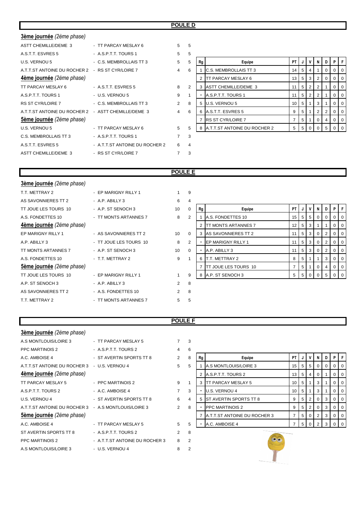### **POULE D**

| 3ème journée (2ème phase)                           |                                |                |   |    |                                |                 |                |                |                |             |                |     |
|-----------------------------------------------------|--------------------------------|----------------|---|----|--------------------------------|-----------------|----------------|----------------|----------------|-------------|----------------|-----|
| <b>ASTT CHEMILLE/DEME 3</b>                         | - TT PARCAY MESLAY 6           | $5^{\circ}$    | 5 |    |                                |                 |                |                |                |             |                |     |
| A.S.T.T. ESVRES 5                                   | - A.S.P.T.T. TOURS 1           | 5              | 5 |    |                                |                 |                |                |                |             |                |     |
| U.S. VERNOU 5                                       | - C.S. MEMBROLLAIS TT 3        | 5              | 5 | Rg | Equipe                         | <b>PT</b>       |                | ٧              | N              |             |                |     |
| A.T.T.ST ANTOINE DU ROCHER 2                        | - RS ST CYR/LOIRE 7            | 4              | 6 |    | <b>C.S. MEMBROLLAIS TT 3</b>   | 14              | 5              | $\overline{4}$ |                | $\mathbf 0$ | 0              |     |
| 4ème journée (2ème phase)                           |                                |                |   |    | <b>TT PARCAY MESLAY 6</b>      | 13              | 5              | 3              | 2              |             |                |     |
| TT PARCAY MESLAY 6                                  | - A.S.T.T. ESVRES 5            | 8              | 2 | 3  | ASTT CHEMILLE/DEME 3           | 11              | 5 <sub>5</sub> | 2              | 2 <sup>1</sup> |             | 0              | -0  |
| A.S.P.T.T. TOURS 1                                  | - U.S. VERNOU 5                | 9              | 1 |    | A.S.P.T.T. TOURS 1             | 11              | 5              | $\overline{2}$ | 2              |             | 0              |     |
| <b>RS ST CYR/LOIRE 7</b>                            | - C.S. MEMBROLLAIS TT 3        | $\overline{2}$ | 8 |    | U.S. VERNOU 5                  | 10 <sup>1</sup> | 5              |                | 3 <sup>1</sup> |             | 0 <sup>1</sup> | - 0 |
| A.T.T.ST ANTOINE DU ROCHER 2 - ASTT CHEMILLE/DEME 3 |                                | $\overline{4}$ | 6 |    | A.S.T.T. ESVRES 5              | 9               | 5              |                | 2 <sub>1</sub> | 2           | $\Omega$       | - C |
| Sème journée (2ème phase)                           |                                |                |   |    | <b>RS ST CYR/LOIRE 7</b>       | 7               | 5              |                | $\Omega$       | 4           | $\Omega$       | O   |
| U.S. VERNOU 5                                       | - TT PARCAY MESLAY 6           | 5              | 5 |    | 8 A.T.T.ST ANTOINE DU ROCHER 2 | 5               | 5 <sup>5</sup> | $\Omega$       | $\Omega$       | 5           |                | ΙO  |
| C.S. MEMBROLLAIS TT 3                               | - A.S.P.T.T. TOURS 1           | $\overline{7}$ | 3 |    |                                |                 |                |                |                |             |                |     |
| A.S.T.T. ESVRES 5                                   | - A.T.T.ST ANTOINE DU ROCHER 2 | 6              | 4 |    |                                |                 |                |                |                |             |                |     |
| <b>ASTT CHEMILLE/DEME 3</b>                         | - RS ST CYR/LOIRE 7            |                | 3 |    |                                |                 |                |                |                |             |                |     |

| 5              |    |                              |    |   |                |          |          |          |   |
|----------------|----|------------------------------|----|---|----------------|----------|----------|----------|---|
| 5              | Rg | Equipe                       | PT | J | ٧              | N        | D        | P        | F |
| 6              | 1  | C.S. MEMBROLLAIS TT 3        | 14 | 5 | 4              | 1        | $\Omega$ | $\Omega$ | 0 |
|                | 2  | TT PARCAY MESLAY 6           | 13 | 5 | 3              | 2        | $\Omega$ | $\Omega$ | 0 |
| $\overline{2}$ | 3  | ASTT CHEMILLE/DEME 3         | 11 | 5 | $\overline{2}$ | 2        | 1        | $\Omega$ | 0 |
| 1              |    | A.S.P.T.T. TOURS 1           | 11 | 5 | 2              | 2        | 1        | $\Omega$ | 0 |
| 8              | 5  | <b>U.S. VERNOU 5</b>         | 10 | 5 | 1              | 3        | 1        | $\Omega$ | 0 |
| 6              | 6  | A.S.T.T. ESVRES 5            | 9  | 5 | 1              | 2        | 2        | $\Omega$ | 0 |
|                | 7  | <b>RS ST CYR/LOIRE 7</b>     | 7  | 5 | 1              | $\Omega$ | 4        | $\Omega$ | 0 |
| 5              | 8  | A.T.T.ST ANTOINE DU ROCHER 2 | 5  | 5 | 0              | $\Omega$ | 5        |          |   |

### **POULE E**

| <b>3ème journée</b> (2ème phase) |                        |                      |                              |           |                |                |                |                |                |     |
|----------------------------------|------------------------|----------------------|------------------------------|-----------|----------------|----------------|----------------|----------------|----------------|-----|
| T.T. METTRAY 2                   | - EP MARIGNY RILLY 1   | 9<br>$\mathbf{1}$    |                              |           |                |                |                |                |                |     |
| AS SAVONNIERES TT 2              | - A.P. ABILLY 3        | 6<br>4               |                              |           |                |                |                |                |                |     |
| TT JOUE LES TOURS 10             | - A.P. ST SENOCH 3     | 10<br>$\mathbf 0$    | Rg<br>Equipe                 | <b>PT</b> | J              | ۷              | N              | D.             | PF             |     |
| A.S. FONDETTES 10                | - TT MONTS ARTANNES 7  | $\overline{2}$<br>8  | A.S. FONDETTES 10            | 15        | 5              | 5              | $\overline{0}$ | 0              |                |     |
| 4ème journée (2ème phase)        |                        |                      | <b>ITT MONTS ARTANNES 7</b>  | 12        | 5 <sup>1</sup> | 3              |                |                | $\overline{0}$ | -0  |
| EP MARIGNY RILLY 1               | - AS SAVONNIERES TT 2  | 10<br>$\overline{0}$ | 3 AS SAVONNIERES TT 2        | 11        | 5              | $\mathbf{3}$   | $\overline{0}$ | $\overline{2}$ |                |     |
| A.P. ABILLY 3                    | - TT JOUE LES TOURS 10 | 8<br>$\overline{2}$  | EP MARIGNY RILLY 1           | 11        | 5 <sup>1</sup> | $\mathbf{3}$   | $\overline{0}$ | 2              | $\overline{0}$ | - 0 |
| TT MONTS ARTANNES 7              | - A.P. ST SENOCH 3     | 10<br>$\overline{0}$ | A.P. ABILLY 3                | 11        | 5 <sup>1</sup> | $\mathbf{3}$   | $\overline{0}$ | $\overline{2}$ | 0              |     |
| A.S. FONDETTES 10                | - T.T. METTRAY 2       | 9                    | 6 T.T. METTRAY 2             | 8         | 5              |                |                | 3              | $\mathbf{0}$   | O   |
| Sème journée (2ème phase)        |                        |                      | <b>ITT JOUE LES TOURS 10</b> | 7         | 5              |                | 0              | 4              |                |     |
| TT JOUE LES TOURS 10             | - EP MARIGNY RILLY 1   | 9                    | 8 A.P. ST SENOCH 3           | 5         | 5              | $\overline{0}$ | $\overline{0}$ | $5^{\circ}$    |                |     |
| A.P. ST SENOCH 3                 | - A.P. ABILLY 3        | 8<br>2               |                              |           |                |                |                |                |                |     |
| AS SAVONNIERES TT 2              | - A.S. FONDETTES 10    | 8<br>2               |                              |           |                |                |                |                |                |     |
| T.T. METTRAY 2                   | - TT MONTS ARTANNES 7  | 5<br>5               |                              |           |                |                |                |                |                |     |
|                                  |                        |                      |                              |           |                |                |                |                |                |     |

### **POULE F**

| 3ème journée (2ème phase)                            |                                |                |                |    |                               |                |    |                |                |             |          |   |
|------------------------------------------------------|--------------------------------|----------------|----------------|----|-------------------------------|----------------|----|----------------|----------------|-------------|----------|---|
| A.S MONTLOUIS/LOIRE 3                                | - TT PARCAY MESLAY 5           |                | 3              |    |                               |                |    |                |                |             |          |   |
| <b>PPC MARTINOIS 2</b>                               | - A.S.P.T.T. TOURS 2           | 4              | 6              |    |                               |                |    |                |                |             |          |   |
| A.C. AMBOISE 4                                       | - ST AVERTIN SPORTS TT 8       | $\overline{2}$ | 8              | Rg | Equipe                        | <b>PT</b>      |    |                | N.             |             |          |   |
| A.T.T.ST ANTOINE DU ROCHER 3                         | - U.S. VERNOU 4                | 5              | 5              |    | A.S MONTLOUIS/LOIRE 3         | 15             | -5 | 5 <sup>5</sup> | $\overline{0}$ | $\mathbf 0$ |          |   |
| 4ème journée (2ème phase)                            |                                |                |                |    | A.S.P.T.T. TOURS 2            | 13             | 5  | 4              | $\Omega$       |             |          |   |
| TT PARCAY MESLAY 5                                   | - PPC MARTINOIS 2              | 9              |                |    | <b>ITT PARCAY MESLAY 5</b>    | 10             | 5  |                | 3 <sup>1</sup> |             | $\Omega$ | C |
| A.S.P.T.T. TOURS 2                                   | - A.C. AMBOISE 4               | $\overline{7}$ | 3              |    | U.S. VERNOU 4                 | 10             |    |                | 3 <sup>1</sup> |             |          |   |
| U.S. VERNOU 4                                        | - ST AVERTIN SPORTS TT 8       | 6              | 4              |    | <b>ST AVERTIN SPORTS TT 8</b> | 9              | 5  | 2              | $\overline{0}$ | 3           |          |   |
| A.T.T.ST ANTOINE DU ROCHER 3 - A.S MONTLOUIS/LOIRE 3 |                                | $\overline{2}$ | 8              |    | <b>PPC MARTINOIS 2</b>        | 9              |    | 2              | $\Omega$       | 3           |          |   |
| Sème journée (2ème phase)                            |                                |                |                |    | A.T.T.ST ANTOINE DU ROCHER 3  | $\overline{7}$ | 5  | $\mathbf{0}$   | 2              | 3           | $\Omega$ |   |
| A.C. AMBOISE 4                                       | - TT PARCAY MESLAY 5           | 5              | 5              |    | A.C. AMBOISE 4                |                | 5  | $\Omega$       | $\mathcal{P}$  | 3           |          |   |
| ST AVERTIN SPORTS TT 8                               | - A.S.P.T.T. TOURS 2           | 2              | 8              |    |                               |                |    |                |                |             |          |   |
| <b>PPC MARTINOIS 2</b>                               | - A.T.T.ST ANTOINE DU ROCHER 3 | 8              | $\overline{2}$ |    |                               |                |    |                |                |             |          |   |
| A.S MONTLOUIS/LOIRE 3                                | - U.S. VERNOU 4                | 8              | $\overline{2}$ |    |                               |                |    |                |                |             |          |   |
|                                                      |                                |                |                |    |                               |                |    |                |                |             |          |   |

| 6 |    |                              |    |   |                |          |   |   |          |
|---|----|------------------------------|----|---|----------------|----------|---|---|----------|
| 8 | Rg | Equipe                       | PT | J | ٧              | N        | D | P | F        |
| 5 |    | A.S MONTLOUIS/LOIRE 3        | 15 | 5 | 5              | $\Omega$ | 0 | 0 | $\Omega$ |
|   | 2  | A.S.P.T.T. TOURS 2           | 13 | 5 | 4              | $\Omega$ |   | O | $\Omega$ |
| 1 | 3  | TT PARCAY MESLAY 5           | 10 | 5 | 1              | 3        |   | O | 0        |
| 3 |    | U.S. VERNOU 4                | 10 | 5 | 1              | 3        |   | O | 0        |
| 4 | 5  | ST AVERTIN SPORTS TT 8       | 9  | 5 | 2              | $\Omega$ | 3 | O | 0        |
| 8 |    | <b>PPC MARTINOIS 2</b>       | 9  | 5 | $\overline{2}$ | $\Omega$ | 3 | O | 0        |
|   | 7  | A.T.T.ST ANTOINE DU ROCHER 3 | 7  | 5 | $\Omega$       | 2        | 3 | 0 | 0        |
| 5 |    | A.C. AMBOISE 4               | 7  | 5 | 0              | 2        | 3 |   | 0        |

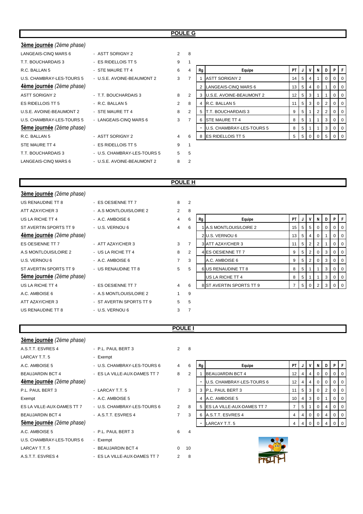### **POULE G**

| 3ème journée (2ème phase) |                             |                |                |    |                                 |    |   |   |   |             |          |    |
|---------------------------|-----------------------------|----------------|----------------|----|---------------------------------|----|---|---|---|-------------|----------|----|
| LANGEAIS-CINQ MARS 6      | - ASTT SORIGNY 2            | 2              | 8              |    |                                 |    |   |   |   |             |          |    |
| T.T. BOUCHARDAIS 3        | - ES RIDELLOIS TT 5         | 9              |                |    |                                 |    |   |   |   |             |          |    |
| R.C. BALLAN 5             | - STE MAURE TT 4            | 6              | 4              | Rg | Equipe                          | PT |   | v | N | D           | PIF      |    |
| U.S. CHAMBRAY-LES-TOURS 5 | - U.S.E. AVOINE-BEAUMONT 2  | 3              | $\overline{7}$ |    | <b>ASTT SORIGNY 2</b>           | 14 | 5 | 4 |   | $\mathbf 0$ | $\Omega$ |    |
| 4ème journée (2ème phase) |                             |                |                |    | LANGEAIS-CINQ MARS 6            | 13 | 5 | 4 | 0 |             |          |    |
| <b>ASTT SORIGNY 2</b>     | - T.T. BOUCHARDAIS 3        | 8              | 2              | 3  | <b>U.S.E. AVOINE-BEAUMONT 2</b> | 12 | 5 | 3 |   |             | 0        | -0 |
| ES RIDELLOIS TT 5         | - R.C. BALLAN 5             | $\overline{2}$ | 8              | 4  | R.C. BALLAN 5                   | 11 | 5 | 3 |   |             |          |    |
| U.S.E. AVOINE-BEAUMONT 2  | - STE MAURE TT 4            | 8              | $\overline{2}$ | 5  | <b>T.T. BOUCHARDAIS 3</b>       | 9  | 5 |   | 2 | 2           | $\Omega$ |    |
| U.S. CHAMBRAY-LES-TOURS 5 | - LANGEAIS-CINQ MARS 6      | 3              | 7              | ĥ  | <b>STE MAURE TT 4</b>           | 8  | 5 |   |   | 3           |          |    |
| Sème journée (2ème phase) |                             |                |                |    | U.S. CHAMBRAY-LES-TOURS 5       | 8  | 5 |   |   | 3           |          |    |
| R.C. BALLAN 5             | - ASTT SORIGNY 2            | 4              | 6              | 8  | <b>ES RIDELLOIS TT 5</b>        | 5  | 5 | 0 | 0 | 5           |          |    |
| STE MAURE TT 4            | - ES RIDELLOIS TT 5         | 9              |                |    |                                 |    |   |   |   |             |          |    |
| T.T. BOUCHARDAIS 3        | - U.S. CHAMBRAY-LES-TOURS 5 | 5              | 5              |    |                                 |    |   |   |   |             |          |    |
| LANGEAIS-CINQ MARS 6      | - U.S.E. AVOINE-BEAUMONT 2  | 8              | 2              |    |                                 |    |   |   |   |             |          |    |

| 1              |                |                           |    |   |                |   |                |          |          |
|----------------|----------------|---------------------------|----|---|----------------|---|----------------|----------|----------|
| 4              | Rg             | Equipe                    | PT | J | ٧              | N | D              | P        | F        |
| 7              |                | <b>ASTT SORIGNY 2</b>     | 14 | 5 | 4              | 1 | $\Omega$       | 0        | 0        |
|                | 2              | LANGEAIS-CINQ MARS 6      | 13 | 5 | $\overline{4}$ | 0 |                | 0        | 0        |
| 2              | 3              | U.S.E. AVOINE-BEAUMONT 2  | 12 | 5 | 3              | 1 |                | 0        | 0        |
| 8              | $\overline{4}$ | R.C. BALLAN 5             | 11 | 5 | 3              | 0 | 2              | 0        | 0        |
| $\overline{2}$ | 5              | T.T. BOUCHARDAIS 3        | 9  | 5 | 1              | 2 | $\overline{2}$ | $\Omega$ | $\Omega$ |
| 7              | 6              | <b>STE MAURE TT 4</b>     | 8  | 5 | 1              | 1 | 3              | 0        | $\Omega$ |
|                |                | U.S. CHAMBRAY-LES-TOURS 5 | 8  | 5 | 1              | 1 | 3              | 0        | $\Omega$ |
| 6              | 8              | <b>ES RIDELLOIS TT 5</b>  | 5  | 5 | $\Omega$       | O | 5              | ŋ        | $\Omega$ |
| $\overline{a}$ |                |                           |    |   |                |   |                |          |          |

### **POULE H**

| 3ème journée (2ème phase) |                          |                |                |    |                          |           |                |                |                |                |         |     |
|---------------------------|--------------------------|----------------|----------------|----|--------------------------|-----------|----------------|----------------|----------------|----------------|---------|-----|
| US RENAUDINE TT 8         | - ES OESIENNE TT 7       | 8              | $\overline{2}$ |    |                          |           |                |                |                |                |         |     |
| ATT AZAY/CHER 3           | - A.S MONTLOUIS/LOIRE 2  | $\overline{2}$ | 8              |    |                          |           |                |                |                |                |         |     |
| US LA RICHE TT 4          | - A.C. AMBOISE 6         | $\overline{4}$ | 6              | Rg | Equipe                   | <b>PT</b> |                | V              | N              | D I            | P       | l F |
| ST AVERTIN SPORTS TT 9    | - U.S. VERNOU 6          | $\overline{4}$ | 6              |    | A.S MONTLOUIS/LOIRE 2    | 15        | 5 <sup>5</sup> | 5 <sub>1</sub> | $\mathbf{0}$   | $\overline{0}$ | $0$   0 |     |
| 4ème journée (2ème phase) |                          |                |                |    | 2 U.S. VERNOU 6          | 13        | 5              | 4              | 0              |                | $01$ 0  |     |
| ES OESIENNE TT 7          | - ATT AZAY/CHER 3        | 3              |                |    | 3 ATT AZAY/CHER 3        | 11        | 5 <sup>5</sup> | $\overline{2}$ | 2              |                | $0$   0 |     |
| A.S MONTLOUIS/LOIRE 2     | - US LA RICHE TT 4       | 8              | 2              |    | 4 ES OESIENNE TT 7       | 9         | 5              | 2              | $\Omega$       | 3              | $01$ 0  |     |
| U.S. VERNOU 6             | - A.C. AMBOISE 6         | $\overline{7}$ | 3              |    | A.C. AMBOISE 6           | 9         | 5              | $\overline{2}$ | $\Omega$       | 3 <sup>1</sup> | $0$   0 |     |
| ST AVERTIN SPORTS TT 9    | - US RENAUDINE TT 8      | 5              | 5              |    | 6 US RENAUDINE TT 8      | 8         | 5              |                |                | 3 I            | $0$   0 |     |
| Sème journée (2ème phase) |                          |                |                |    | US LA RICHE TT 4         | 8         | 5              |                |                | 3 <sup>1</sup> | $0$   0 |     |
| US LA RICHE TT 4          | - ES OESIENNE TT 7       | $\overline{4}$ | 6              |    | 8 ST AVERTIN SPORTS TT 9 |           | 5 <sup>1</sup> | $\overline{0}$ | $\overline{2}$ | 3 <sup>1</sup> | $01$ 0  |     |
| A.C. AMBOISE 6            | - A.S MONTLOUIS/LOIRE 2  |                | 9              |    |                          |           |                |                |                |                |         |     |
| ATT AZAY/CHER 3           | - ST AVERTIN SPORTS TT 9 | 5              | -5             |    |                          |           |                |                |                |                |         |     |
| US RENAUDINE TT 8         | - U.S. VERNOU 6          | 3              |                |    |                          |           |                |                |                |                |         |     |
|                           |                          |                |                |    |                          |           |                |                |                |                |         |     |

### **POULE I**

| 3ème journée (2ème phase)  |                              |                |                |    |                                   |                |   |              |                |   |          |     |
|----------------------------|------------------------------|----------------|----------------|----|-----------------------------------|----------------|---|--------------|----------------|---|----------|-----|
| A.S.T.T. ESVRES 4          | - P.L. PAUL BERT 3           |                | $2 \quad 8$    |    |                                   |                |   |              |                |   |          |     |
| LARCAY T.T. 5              | - Exempt                     |                |                |    |                                   |                |   |              |                |   |          |     |
| A.C. AMBOISE 5             | - U.S. CHAMBRAY-LES-TOURS 6  | $\overline{4}$ | 6              | Rg | Equipe                            | PT             | J | v            | N              | D | PIF      |     |
| <b>BEAUJARDIN BCT 4</b>    | - ES LA VILLE-AUX-DAMES TT 7 | 8              | 2              |    | <b>BEAUJARDIN BCT 4</b>           | 12             |   |              |                |   |          |     |
| 4ème journée (2ème phase)  |                              |                |                |    | U.S. CHAMBRAY-LES-TOURS 6         | 12             |   | 4            | $\overline{0}$ | 0 | 0        |     |
| P.L. PAUL BERT 3           | - LARCAY T.T. 5              | $\overline{7}$ | 3              |    | P.L. PAUL BERT 3                  | 11             | 5 | 3            | 0              | 2 |          |     |
| Exempt                     | - A.C. AMBOISE 5             |                |                |    | A.C. AMBOISE 5                    | 10             | 4 | 3            | $\overline{0}$ |   | 0        | O   |
| ES LA VILLE-AUX-DAMES TT 7 | - U.S. CHAMBRAY-LES-TOURS 6  | $\overline{2}$ | 8              |    | <b>ES LA VILLE-AUX-DAMES TT 7</b> | $\overline{7}$ | 5 |              | 0              | 4 | 0        | O   |
| <b>BEAUJARDIN BCT 4</b>    | - A.S.T.T. ESVRES 4          | $\overline{7}$ | 3              |    | A.S.T.T. ESVRES 4                 | 4              | 4 | $\mathbf{0}$ | $\mathbf{0}$   | 4 | 0        | - C |
| Sème journée (2ème phase)  |                              |                |                |    | LARCAY T.T. 5                     | 4              | 4 | $\Omega$     | $\Omega$       |   | $\Omega$ |     |
| A.C. AMBOISE 5             | - P.L. PAUL BERT 3           | 6              | $\overline{4}$ |    |                                   |                |   |              |                |   |          |     |
| U.S. CHAMBRAY-LES-TOURS 6  | - Exempt                     |                |                |    |                                   |                |   |              |                |   |          |     |
| LARCAY T.T. 5              | - BEAUJARDIN BCT 4           | $\Omega$       | 10             |    |                                   |                |   |              |                |   |          |     |
| A.S.T.T. ESVRES 4          | - ES LA VILLE-AUX-DAMES TT 7 | 2              | 8              |    |                                   |                |   |              |                |   |          |     |

| 6 | Rg | Equipe                     | PT | J | v        | N        | D        | P        | F        |
|---|----|----------------------------|----|---|----------|----------|----------|----------|----------|
| 2 |    | <b>BEAUJARDIN BCT 4</b>    | 12 | 4 | 4        | 0        | 0        | $\Omega$ | $\Omega$ |
|   |    | U.S. CHAMBRAY-LES-TOURS 6  | 12 | 4 | 4        | $\Omega$ | $\Omega$ | 0        | 0        |
| 3 | 3  | P.L. PAUL BERT 3           | 11 | 5 | 3        | $\Omega$ | 2        | $\Omega$ | $\Omega$ |
|   | 4  | A.C. AMBOISE 5             | 10 | 4 | 3        | $\Omega$ | 1        | $\Omega$ | $\Omega$ |
| 8 | 5  | ES LA VILLE-AUX-DAMES TT 7 | 7  | 5 | 1        | $\Omega$ | 4        | 0        | $\Omega$ |
| 3 | 6  | A.S.T.T. ESVRES 4          | 4  | 4 | $\Omega$ | $\Omega$ | 4        | $\Omega$ | $\Omega$ |
|   |    | LARCAY T.T. 5              | 4  | 4 | 0        | $\Omega$ | 4        | 0        | $\Omega$ |

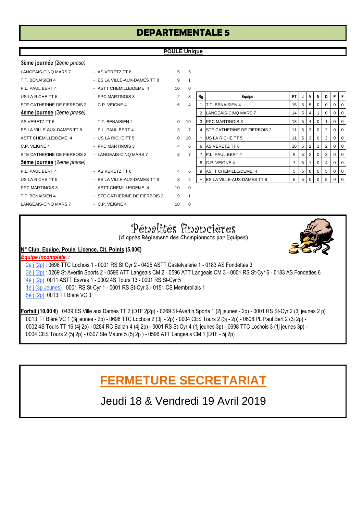# **DEPARTEMENTALE 5**

### **POULE Unique**

| 3ème journée (2ème phase)   |                               |                |                 |    |                                    |                |   |                |                |                |          |  |
|-----------------------------|-------------------------------|----------------|-----------------|----|------------------------------------|----------------|---|----------------|----------------|----------------|----------|--|
| <b>LANGEAIS-CINO MARS 7</b> | - AS VERETZ TT 6              | 5              | 5               |    |                                    |                |   |                |                |                |          |  |
| T.T. BENAISIEN 4            | - ES LA VILLE-AUX-DAMES TT 8  | 9              | $\mathbf 1$     |    |                                    |                |   |                |                |                |          |  |
| P.L. PAUL BERT 4            | - ASTT CHEMILLE/DEME 4        | 10             | $\Omega$        |    |                                    |                |   |                |                |                |          |  |
| US LA RICHE TT 5            | - PPC MARTINOIS 3             | $\overline{2}$ | 8               | Rg | Equipe                             | <b>PT</b>      |   | V              | N              | D              | P        |  |
| STE CATHERINE DE FIERBOIS 2 | $-C.P.$ VEIGNE 4              | 6              | $\overline{4}$  |    | T.T. BENAISIEN 4                   | 15             | 5 | 5              | 0              | $\mathbf 0$    | $\Omega$ |  |
| 4ème journée (2ème phase)   |                               |                |                 |    | 2 LANGEAIS-CINQ MARS 7             | 14             | 5 | 4              |                | $\mathbf 0$    | $\Omega$ |  |
| AS VERETZ TT 6              | - T.T. BENAISIEN 4            | $\Omega$       | 10 <sup>1</sup> |    | 3 <b>PPC MARTINOIS 3</b>           | 13             | 5 | 4              | $\overline{0}$ |                | $\Omega$ |  |
| ES LA VILLE-AUX-DAMES TT 8  | - P.L. PAUL BERT 4            | 3              | $\overline{7}$  | 4  | <b>STE CATHERINE DE FIERBOIS 2</b> | 11             | 5 | 3              | $\overline{0}$ | 2              | $\Omega$ |  |
| <b>ASTT CHEMILLE/DEME 4</b> | - US LA RICHE TT 5            | $\Omega$       | 10              |    | US LA RICHE TT 5                   | 11             | 5 | 3              | $\overline{0}$ | $\overline{2}$ | $\Omega$ |  |
| C.P. VEIGNE 4               | - PPC MARTINOIS 3             | $\overline{4}$ | 6               |    | 6 AS VERETZ TT 6                   | 10             | 5 | $\overline{2}$ |                | $\overline{2}$ | $\Omega$ |  |
| STE CATHERINE DE FIERBOIS 2 | - LANGEAIS-CINQ MARS 7        | 3              | $\overline{7}$  |    | P.L. PAUL BERT 4                   | 9              | 5 | $\overline{2}$ | $\Omega$       | 3              | $\Omega$ |  |
| Sème journée (2ème phase)   |                               |                |                 |    | 8 C.P. VEIGNE 4                    | $\overline{7}$ | 5 |                | $\Omega$       |                | $\Omega$ |  |
| P.L. PAUL BERT 4            | - AS VERETZ TT 6              | $\overline{4}$ | 6               |    | 9 ASTT CHEMILLE/DEME 4             | 5              | 5 | $\mathbf{0}$   | 0              | 5              | $\Omega$ |  |
| US LA RICHE TT 5            | - ES LA VILLE-AUX-DAMES TT 8  | 8              | $\overline{2}$  |    | <b>ES LA VILLE-AUX-DAMES TT 8</b>  | 5              | 5 | $\mathbf{0}$   | $\Omega$       | 5              |          |  |
| <b>PPC MARTINOIS 3</b>      | - ASTT CHEMILLE/DEME 4        | 10             | $\mathbf 0$     |    |                                    |                |   |                |                |                |          |  |
| T.T. BENAISIEN 4            | - STE CATHERINE DE FIERBOIS 2 | 9              | $\overline{1}$  |    |                                    |                |   |                |                |                |          |  |
| LANGEAIS-CINQ MARS 7        | - C.P. VEIGNE 4               | 10             | $\Omega$        |    |                                    |                |   |                |                |                |          |  |
|                             |                               |                |                 |    |                                    |                |   |                |                |                |          |  |

| $\Omega$       |                |                             |    |   |                |          |   |          |   |
|----------------|----------------|-----------------------------|----|---|----------------|----------|---|----------|---|
| 8              | Rg             | Equipe                      | PT | J | v              | N        | D | P        | F |
| 4              | 1              | T.T. BENAISIEN 4            | 15 | 5 | 5              | 0        | 0 | $\Omega$ | 0 |
|                | 2              | LANGEAIS-CINQ MARS 7        | 14 | 5 | 4              | 1        | O | $\Omega$ | 0 |
| 10             | 3              | <b>PPC MARTINOIS 3</b>      | 13 | 5 | 4              | 0        | 1 | $\Omega$ | 0 |
| 7              | 4              | STE CATHERINE DE FIERBOIS 2 | 11 | 5 | 3              | $\Omega$ | 2 | 0        | 0 |
| 10             | -              | US LA RICHE TT 5            | 11 | 5 | 3              | $\Omega$ | 2 | 0        | 0 |
| 6              | 6              | AS VERETZ TT 6              | 10 | 5 | 2              | 1        | 2 | 0        | 0 |
| 7              | 7              | P.L. PAUL BERT 4            | 9  | 5 | $\overline{2}$ | $\Omega$ | 3 | 0        | 0 |
|                | 8              | C.P. VEIGNE 4               | 7  | 5 | 1              | $\Omega$ | 4 | $\Omega$ | 0 |
| 6              | 9              | <b>ASTT CHEMILLE/DEME 4</b> | 5  | 5 | 0              | $\Omega$ | 5 | 0        | 0 |
| $\overline{2}$ | $\blacksquare$ | ES LA VILLE-AUX-DAMES TT 8  | 5  | 5 | $\Omega$       | O        | 5 | 0        | 0 |
| $\Omega$       |                |                             |    |   |                |          |   |          |   |

# Pénalités financières

(d'après Règlement des Championnats par Equipes)



### **N° Club, Equipe, Poule, Licence, Clt, Points (5,00€)**

*Equipe Incomplète :*  2è j (2p) : 0698 TTC Lochois 1 - 0001 RS St Cyr 2 - 0425 ASTT Castelvalérie 1 - 0183 AS Fondettes 3 3è j (2p) : 0269 St-Avertin Sports 2 - 0596 ATT Langeais CM 2 - 0596 ATT Langeais CM 3 - 0001 RS St-Cyr 6 - 0183 AS Fondettes 6 4è j (2p): 0011 ASTT Esvres 1 - 0002 4S Tours 13 - 0001 RS St-Cyr 5 1è j (3p Jeunes) : 0001 RS St-Cyr 1 - 0001 RS St-Cyr 3 - 0151 CS Membrollais 1 5è j (2p): 0013 TT Bléré VC 3

**Forfait (10,00 €)** : 0439 ES Ville aux Dames TT 2 (D1F 2j2p) - 0269 St-Avertin Sports 1 (2j jeunes - 2p) - 0001 RS St-Cyr 2 (3j jeunes 2 p) 0013 TT Bléré VC 1 (3j jeunes - 2p) - 0698 TTC Lochois 2 (3j - 2p) - 0004 CES Tours 2 (3j - 2p) - 0608 PL Paul Bert 2 (3j 2p) - 0002 4S Tours TT 16 (4j 2p) - 0284 RC Ballan 4 (4j 2p) - 0001 RS St-Cyr 4 (1j jeunes 3p) - 0698 TTC Lochois 3 (1j jeunes 3p) - 0004 CES Tours 2 (5j 2p) - 0307 Ste Maure 5 (5j 2p ) - 0596 ATT Langeais CM 1 (D1F - 5j 2p)

# **FERMETURE SECRETARIAT**

Jeudi 18 & Vendredi 19 Avril 2019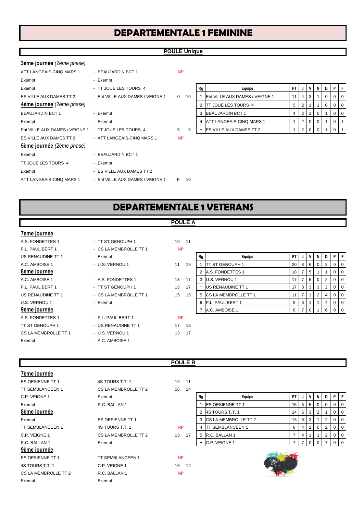# **DEPARTEMENTALE 1 FEMININE**

### **POULE Unique**

| 3ème journée (2ème phase)      |                                  |              |    |    |                                 |           |                |                |              |             |          |   |
|--------------------------------|----------------------------------|--------------|----|----|---------------------------------|-----------|----------------|----------------|--------------|-------------|----------|---|
| ATT LANGEAIS-CINQ MARS 1       | - BEAUJARDIN BCT 1               | <b>NP</b>    |    |    |                                 |           |                |                |              |             |          |   |
| Exempt                         | - Exempt                         |              |    |    |                                 |           |                |                |              |             |          |   |
| Exempt                         | - TT JOUE LES TOURS 4            |              |    | Rg | Equipe                          | <b>PT</b> | N              | $\mathsf{v}$   | N            | D           | PIF      |   |
| ES VILLE AUX DAMES TT 2        | - Ent VILLE AUX DAMES / VEIGNE 1 | $\mathbf{0}$ | 10 |    | Ent VILLE AUX DAMES / VEIGNE 1  | 11        | 4              | 3              |              | 0           |          | O |
| 4ème journée (2ème phase)      |                                  |              |    |    | <b>ITT JOUE LES TOURS 4</b>     | 5         | 2              |                |              | $\mathbf 0$ | 0        | O |
| <b>BEAUJARDIN BCT 1</b>        | - Exempt                         |              |    | 3  | <b>BEAUJARDIN BCT 1</b>         | 4         | 2              |                | 0            |             | 0        | O |
| Exempt                         | - Exempt                         |              |    |    | <b>ATT LANGEAIS-CINQ MARS 1</b> |           | 2              | $\overline{0}$ | $\mathbf{0}$ |             | 0        |   |
| Ent VILLE AUX DAMES / VEIGNE 1 | - TT JOUE LES TOURS 4            | 5            | 5  |    | <b>ES VILLE AUX DAMES TT 2</b>  |           | $\overline{2}$ | $\mathbf{0}$   | $\Omega$     |             | $\Omega$ |   |
| ES VILLE AUX DAMES TT 2        | - ATT LANGEAIS-CINQ MARS 1       | <b>NP</b>    |    |    |                                 |           |                |                |              |             |          |   |
| 5ème journée (2ème phase)      |                                  |              |    |    |                                 |           |                |                |              |             |          |   |
| Exempt                         | - BEAUJARDIN BCT 1               |              |    |    |                                 |           |                |                |              |             |          |   |
| TT JOUE LES TOURS 4            | - Exempt                         |              |    |    |                                 |           |                |                |              |             |          |   |
| Exempt                         | - ES VILLE AUX DAMES TT 2        |              |    |    |                                 |           |                |                |              |             |          |   |
| ATT LANGEAIS-CINQ MARS 1       | - Ent VILLE AUX DAMES / VEIGNE 1 | F.           | 10 |    |                                 |           |                |                |              |             |          |   |
|                                |                                  |              |    |    |                                 |           |                |                |              |             |          |   |

|   | Rg | Equipe                         | PT |                |   | N | D |  |
|---|----|--------------------------------|----|----------------|---|---|---|--|
| 0 |    | Ent VILLE AUX DAMES / VEIGNE 1 | 11 | 4              | 3 |   |   |  |
|   | 2  | TT JOUE LES TOURS 4            | 5  | 2              |   |   |   |  |
|   | 3  | <b>BEAUJARDIN BCT 1</b>        | 4  | $\overline{2}$ |   | 0 |   |  |
|   | 4  | ATT LANGEAIS-CINQ MARS 1       |    | 2              |   | 0 |   |  |
| 5 |    | ES VILLE AUX DAMES TT 2        |    | 2              |   |   |   |  |

# **DEPARTEMENTALE 1 VETERANS**

### **POULE A**

### **7ème journée**

- A.S. FONDETTES 1 TT ST GENOUPH 1 19 11 P.L. PAUL BERT 1 - CS LA MEMBROLLE TT 1 A.S. FONDETTES 1 - P.L. PAUL BERT 1
- TT ST GENOUPH 1 US RENAUDINE TT 1 17 13 CS LA MEMBROLLE TT 1 - U.S. VERNOU 1 13 17 Exempt - A.C. AMBOISE 1

- 
- 
- 
- 
- 

NP

### US RENAUDINE TT 1 - Exempt **Rg Research PT ASSESS RESEAUDING TT 1** - Exempt **Rg** Rg Rg **Equipe** PT **PT J** V N D **P** F A.C. AMBOISE 1 - U.S. VERNOU 1 11 19 1 TT ST GENOUPH 1 20 8 6 0 2 0 0 **8ème journée** 2 A.S. FONDETTES 1 18 7 5 1 1 0 0 A.C. AMBOISE 1  $-$  A.S. FONDETTES 1 13 17 3 U.S. VERNOU 1  $17$   $17$   $17$   $15$   $0$   $2$   $1$   $0$   $0$ P.L. PAUL BERT 1 - TT ST GENOUPH 1 13 17 - US RENAUDINE TT 1  $\left| 17 \right| 8 \left| 3 \right| 3 \left| 2 \right| 0 \left| 0 \right|$ US RENAUDINE TT 1 - CS LA MEMBROLLE TT 1 15 15 5 CS LA MEMBROLLE TT 1 11 7 1 2 4 0 0 U.S. VERNOU 1 - Exempt 6 P.L. PAUL BERT 1 9 6 1 1 4 0 0 **9ème journée** 7 A.C. AMBOISE 1 8 7 0 1 6 0 0

### **POULE B**

NP

| 7ème journée            |                         |           |    |                             |                 |   |                |   |                |                |                |
|-------------------------|-------------------------|-----------|----|-----------------------------|-----------------|---|----------------|---|----------------|----------------|----------------|
| ES OESIENNE TT 1        | 4S TOURS T.T. 1         | 19<br>11  |    |                             |                 |   |                |   |                |                |                |
| <b>TT SEMBLANCEEN 1</b> | CS LA MEMBROLLE TT 2    | 16<br>14  |    |                             |                 |   |                |   |                |                |                |
| C.P. VEIGNE 1           | Exempt                  |           | Rg | Equipe                      | <b>PT</b>       |   |                | N |                |                | PF             |
| Exempt                  | R.C. BALLAN 1           |           |    | <b>ES OESIENNE TT 1</b>     | 15 <sub>1</sub> | 5 | -5             | 0 | $\Omega$       |                | 0 <sub>0</sub> |
| 8ème journée            |                         |           | 2  | 4S TOURS T.T. 1             | 14 <sup>1</sup> | 6 | 3              | 2 |                | 0              | $\overline{0}$ |
| Exempt                  | ES OESIENNE TT 1        |           | 3  | <b>CS LA MEMBROLLE TT 2</b> | 13 <sup>1</sup> | 6 | -3             |   | 2              |                | $0 \mid 0$     |
| <b>TT SEMBLANCEEN 1</b> | 4S TOURS T.T. 1         | <b>NP</b> | 4  | <b>ITT SEMBLANCEEN 1</b>    | 8               | 4 | $\overline{2}$ | 0 |                | $\overline{0}$ | $\overline{0}$ |
| C.P. VEIGNE 1           | CS LA MEMBROLLE TT 2    | 13<br>17  |    | 5 R.C. BALLAN 1             | 7               | 4 |                |   | $\overline{2}$ | $\overline{0}$ | $\overline{0}$ |
| R.C. BALLAN 1           | Exempt                  |           | ۰  | C.P. VEIGNE 1               |                 |   |                | 0 |                |                | $0 \mid 0$     |
| 9ème journée            |                         |           |    |                             |                 |   |                |   |                |                |                |
| ES OESIENNE TT 1        | <b>TT SEMBLANCEEN 1</b> | <b>NP</b> |    |                             |                 |   |                |   |                |                |                |
| 4S TOURS T.T. 1         | C.P. VEIGNE 1           | 16<br>14  |    | 添                           |                 |   |                |   |                |                |                |
| CS LA MEMBROLLE TT 2    | R.C. BALLAN 1           | <b>NP</b> |    |                             |                 |   |                |   |                |                |                |
| Exempt                  | Exempt                  |           |    |                             |                 |   |                |   |                |                |                |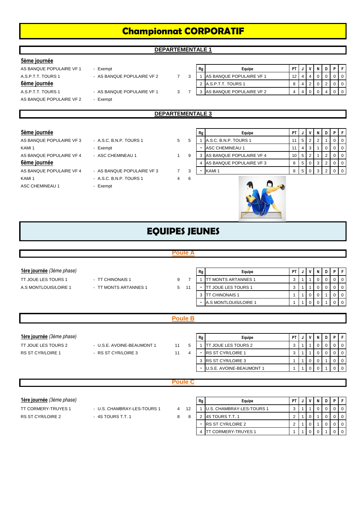# **Championnat CORPORATIF**

**DEPARTEMENTALE 1**

### **5ème journée**

- 
- A.S.P.T.T. TOURS 1 AS BANQUE POPULAIRE VF 2 7
- A.S.P.T.T. TOURS 1 AS BANQUE POPULAIRE VF 1 3
- AS BANQUE POPULAIRE VF 2 Exempt

| AS BANQUE POPULAIRE VF 1 | Exempt                     |  | Rg | Equipe                     | <b>PT</b> |  |  |  |
|--------------------------|----------------------------|--|----|----------------------------|-----------|--|--|--|
| A.S.P.T.T. TOURS 1       | - AS BANQUE POPULAIRE VF 2 |  |    | AS BANQUE POPULAIRE VF 1   |           |  |  |  |
| 6ème journée             |                            |  |    | 2 A.S.P.T.T. TOURS 1       |           |  |  |  |
| A.S.P.T.T. TOURS 1       | - AS BANQUE POPULAIRE VF 1 |  |    | 3 AS BANQUE POPULAIRE VF 2 |           |  |  |  |

### **DEPARTEMENTALE 3**

- 6ème journée
- ASC CHEMINEAU 1 Exempt
- AS BANQUE POPULAIRE VF 4 AS BANQUE POPULAIRE VF 3 7 KAMI 1 - A.S.C. B.N.P. TOURS 1 4
	-

| 5ème journée             |                            |   |    | Rg | Equipe                   | PT |                |  |  |          |
|--------------------------|----------------------------|---|----|----|--------------------------|----|----------------|--|--|----------|
| AS BANQUE POPULAIRE VF 3 | - A.S.C. B.N.P. TOURS 1    | 5 |    |    | A.S.C. B.N.P. TOURS 1    |    | 5 <sub>1</sub> |  |  | $\Omega$ |
| KAMI <sub>1</sub>        | - Exempt                   |   |    |    | ASC CHEMINEAU 1          |    |                |  |  |          |
| AS BANQUE POPULAIRE VF 4 | - ASC CHEMINEAU 1          |   |    |    | AS BANQUE POPULAIRE VF 4 | 10 | -5             |  |  | $\Omega$ |
| 6ème journée             |                            |   |    |    | AS BANQUE POPULAIRE VF 3 | 8  | 5              |  |  |          |
| AS BANQUE POPULAIRE VF 4 | - AS BANQUE POPULAIRE VF 3 |   | -3 |    | KAMI <sub>1</sub>        |    |                |  |  |          |
| KAMI <sub>1</sub>        | $-$ ASC RNP TOURS 1        | 4 |    |    |                          |    |                |  |  |          |



4 TT CORMERY-TRUYES 1 | 1 | 1 | 0 | 0 | 1 | 0 | 0

# **EQUIPES JEUNES**

|                           |                             | <b>Poule A</b> |                |                |                            |                |              |             |              |                |             |                |
|---------------------------|-----------------------------|----------------|----------------|----------------|----------------------------|----------------|--------------|-------------|--------------|----------------|-------------|----------------|
|                           |                             |                |                |                |                            |                |              |             |              |                |             |                |
| 1ère journée (3ème phase) |                             |                |                | Rg             | Equipe                     | PT             | J            | ٧           | N            | D              | P           | F.             |
| TT JOUE LES TOURS 1       | - TT CHINONAIS 1            | 9              | $\overline{7}$ | 1              | <b>TT MONTS ARTANNES 1</b> | 3              |              | 1           | 0            | 0              | 0           | $\mathbf 0$    |
| A.S MONTLOUIS/LOIRE 1     | - TT MONTS ARTANNES 1       | 5              | 11             |                | TT JOUE LES TOURS 1        | 3              |              | 1           | 0            | $\mathbf 0$    | $\mathbf 0$ | $\mathbf 0$    |
|                           |                             |                |                | 3              | <b>TT CHINONAIS 1</b>      | 1              |              | $\mathbf 0$ | 0            | $\mathbf{1}$   | $\mathbf 0$ | $\mathbf 0$    |
|                           |                             |                |                |                | A.S MONTLOUIS/LOIRE 1      | 1              |              | $\mathbf 0$ | $\mathbf{0}$ |                | $\mathbf 0$ | $\mathbf 0$    |
|                           |                             |                |                |                |                            |                |              |             |              |                |             |                |
|                           |                             | <b>Poule B</b> |                |                |                            |                |              |             |              |                |             |                |
|                           |                             |                |                |                |                            |                |              |             |              |                |             |                |
| 1ère journée (3ème phase) |                             |                |                | Rg             | Equipe                     | PT             |              | ٧           | N            | D              | P           | F              |
| TT JOUE LES TOURS 2       | - U.S.E. AVOINE-BEAUMONT 1  | 11             | 5              |                | <b>TT JOUE LES TOURS 2</b> | 3              |              | 1           | 0            | 0              | 0           | $\mathbf 0$    |
| <b>RS ST CYR/LOIRE 1</b>  | - RS ST CYR/LOIRE 3         | 11             | $\overline{4}$ | $\sim$         | RS ST CYR/LOIRE 1          | 3              |              | 1           | 0            | $\mathbf 0$    | $\mathbf 0$ | $\mathbf 0$    |
|                           |                             |                |                | 3              | RS ST CYR/LOIRE 3          | 1              |              | 0           | 0            | $\mathbf{1}$   | 0           | $\mathbf 0$    |
|                           |                             |                |                |                | U.S.E. AVOINE-BEAUMONT 1   | $\mathbf{1}$   | 1            | $\mathbf 0$ | $\mathbf{0}$ | $\overline{1}$ | $\mathbf 0$ | $\overline{0}$ |
|                           |                             |                |                |                |                            |                |              |             |              |                |             |                |
|                           |                             | <b>Poule C</b> |                |                |                            |                |              |             |              |                |             |                |
|                           |                             |                |                |                |                            |                |              |             |              |                |             |                |
| lère journée (3ème phase) |                             |                |                | Rg             | Equipe                     | PT             | J            | ٧           | N            | D              | P           | F              |
| TT CORMERY-TRUYES 1       | - U.S. CHAMBRAY-LES-TOURS 1 | $\overline{4}$ | 12             |                | U.S. CHAMBRAY-LES-TOURS 1  | 3              |              |             | $\Omega$     | $\Omega$       | $\Omega$    | $\Omega$       |
| <b>RS ST CYR/LOIRE 2</b>  | - 4S TOURS T.T. 1           | 8              | 8              | $\overline{2}$ | 4S TOURS T.T. 1            | $\overline{2}$ |              | 0           |              | $\mathbf 0$    | $\mathbf 0$ | $\Omega$       |
|                           |                             |                |                | $\blacksquare$ | <b>RS ST CYR/LOIRE 2</b>   | $\overline{2}$ | $\mathbf{1}$ | $\mathbf 0$ | $\mathbf{1}$ | $\mathbf 0$    | $\mathbf 0$ | $\overline{0}$ |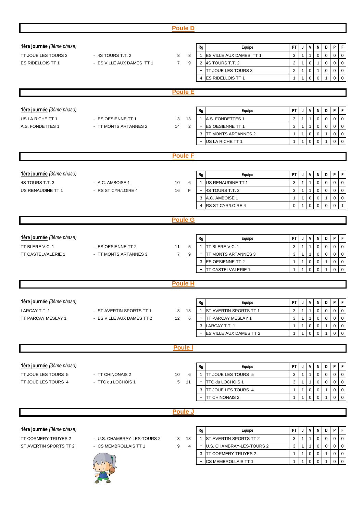|                           |                             | <b>Poule D</b>      |                |                            |                |                |                     |                               |                  |             |                     |
|---------------------------|-----------------------------|---------------------|----------------|----------------------------|----------------|----------------|---------------------|-------------------------------|------------------|-------------|---------------------|
|                           |                             |                     |                |                            |                |                |                     |                               |                  |             |                     |
| 1ère journée (3ème phase) |                             |                     | Rg             | Equipe                     | PT             |                | J V                 | N                             | D                | P           | $\mathsf F$         |
| TT JOUE LES TOURS 3       | - 4S TOURS T.T. 2           | 8<br>8              | $\mathbf{1}$   | ES VILLE AUX DAMES TT 1    | 3              | 1              | $\mathbf{1}$        | $\mathbf 0$                   | $\mathsf 0$      | $\pmb{0}$   | $\mathsf 0$         |
| ES RIDELLOIS TT 1         | - ES VILLE AUX DAMES TT 1   | 9<br>$\overline{7}$ | $\overline{2}$ | 4S TOURS T.T. 2            | $\overline{2}$ | $\mathbf{1}$   |                     | $\mathbf 0$<br>$\overline{1}$ | $\boldsymbol{0}$ | $\mathsf 0$ | $\mathsf 0$         |
|                           |                             |                     |                | TT JOUE LES TOURS 3        | $\overline{2}$ | $\mathbf{1}$   | $\mathsf 0$         | $\overline{1}$                | $\boldsymbol{0}$ | $\mathbf 0$ | $\mathbf 0$         |
|                           |                             |                     | 4              | ES RIDELLOIS TT 1          | $\mathbf{1}$   | $\mathbf{1}$   | $\mathbf 0$         | $\mathbf 0$                   |                  | $\mathbf 0$ | $\pmb{0}$           |
|                           |                             | <b>Poule E</b>      |                |                            |                |                |                     |                               |                  |             |                     |
|                           |                             |                     |                |                            |                |                |                     |                               |                  |             |                     |
|                           |                             |                     |                |                            |                |                |                     |                               |                  |             |                     |
| 1ère journée (3ème phase) |                             |                     | Rg             | Equipe                     | PT             | J              | V                   | N                             | D                | P           | $\mathsf F$         |
| US LA RICHE TT 1          | - ES OESIENNE TT 1          | 13<br>3             | $\mathbf{1}$   | A.S. FONDETTES 1           | 3              | $\mathbf{1}$   | $\mathbf{1}$        | $\mathbf 0$                   | $\mathbf 0$      | $\pmb{0}$   | $\pmb{0}$           |
| A.S. FONDETTES 1          | - TT MONTS ARTANNES 2       | 2<br>14             |                | ES OESIENNE TT 1           | 3              | $\mathbf{1}$   | $\mathbf{1}$        | $\mathbf 0$                   | $\pmb{0}$        | $\mathsf 0$ | $\mathsf 0$         |
|                           |                             |                     | 3              | <b>TT MONTS ARTANNES 2</b> | $\mathbf{1}$   | $\mathbf{1}$   | $\mathbf 0$         | $\mathbf 0$                   | $\mathbf{1}$     | $\mathbf 0$ | $\mathsf 0$         |
|                           |                             |                     |                | US LA RICHE TT 1           | $\mathbf{1}$   |                | $\Omega$            | $\Omega$                      |                  | $\Omega$    | $\mathbf 0$         |
|                           |                             | <b>Poule F</b>      |                |                            |                |                |                     |                               |                  |             |                     |
|                           |                             |                     |                |                            |                |                |                     |                               |                  |             |                     |
| lère journée (3ème phase) |                             |                     | Rg             | Equipe                     | PT             | J              | V                   | N                             | D                | P           | F                   |
| 4S TOURS T.T. 3           | - A.C. AMBOISE 1            | 10<br>6             |                | US RENAUDINE TT 1          | 3              | $\mathbf{1}$   | $\overline{1}$      | $\mathbf 0$                   | $\mathbf 0$      | $\pmb{0}$   | $\mathbf 0$         |
| US RENAUDINE TT 1         | - RS ST CYR/LOIRE 4         | F<br>16             |                | 4S TOURS T.T. 3            | 3              | $\mathbf{1}$   | $\overline{1}$      | $\pmb{0}$                     | $\pmb{0}$        | $\mathbf 0$ | $\mathsf 0$         |
|                           |                             |                     | 3              | A.C. AMBOISE 1             | $\mathbf{1}$   | $\mathbf{1}$   | $\mathsf{O}\xspace$ | $\mathbf 0$                   | $\mathbf{1}$     | $\mathsf 0$ | $\mathsf{O}\xspace$ |
|                           |                             |                     | $\overline{4}$ | RS ST CYR/LOIRE 4          | $\mathbf 0$    | $\mathbf{1}$   |                     | $\mathbf 0$<br>$\mathbf 0$    | $\mathbf 0$      | $\mathbf 0$ | $\overline{1}$      |
|                           |                             |                     |                |                            |                |                |                     |                               |                  |             |                     |
|                           |                             | <b>Poule G</b>      |                |                            |                |                |                     |                               |                  |             |                     |
|                           |                             |                     |                |                            |                |                |                     |                               |                  |             |                     |
| lère journée (3ème phase) |                             |                     | Rg             | Equipe                     | PT             | J              | $\mathsf{v}$        | N                             | D                | P           | F                   |
| TT BLERE V.C. 1           | - ES OESIENNE TT 2          | 5<br>11             | $\mathbf{1}$   | TT BLERE V.C. 1            | 3              | $\mathbf{1}$   | $\overline{1}$      | $\mathbf 0$                   | $\pmb{0}$        | $\pmb{0}$   | $\mathsf 0$         |
| TT CASTELVALERIE 1        | - TT MONTS ARTANNES 3       | 9<br>$\overline{7}$ |                | TT MONTS ARTANNES 3        | 3              | $\mathbf{1}$   | $\mathbf{1}$        | $\mathbf 0$                   | $\pmb{0}$        | $\pmb{0}$   | $\mathbf 0$         |
|                           |                             |                     | 3              | <b>ES OESIENNE TT 2</b>    | $\mathbf{1}$   | $\mathbf{1}$   | $\pmb{0}$           | $\pmb{0}$                     | 1                | $\mathbf 0$ | $\mathbf 0$         |
|                           |                             |                     |                | TT CASTELVALERIE 1         | $\mathbf{1}$   | $\mathbf{1}$   | $\mathbf 0$         | $\mathbf 0$                   |                  | $\mathbf 0$ | $\mathbf 0$         |
|                           |                             | <b>Poule H</b>      |                |                            |                |                |                     |                               |                  |             |                     |
|                           |                             |                     |                |                            |                |                |                     |                               |                  |             |                     |
|                           |                             |                     |                |                            |                |                |                     |                               |                  |             |                     |
| 1ère journée (3ème phase) |                             |                     | Rg             | Equipe                     | PT             | J              | $\mathsf{v}$        | N                             | D                | P           | F                   |
| LARCAY T.T. 1             | - ST AVERTIN SPORTS TT 1    | 3<br>13             | $\mathbf{1}$   | ST AVERTIN SPORTS TT 1     | 3              | $\mathbf{1}$   | 1                   | $\mathbf 0$                   | 0                | 0           | $\mathbf 0$         |
| TT PARCAY MESLAY 1        | - ES VILLE AUX DAMES TT 2   | 12<br>6             |                | TT PARCAY MESLAY 1         | 3              | $\mathbf{1}$   | $\mathbf{1}$        | $\mathbf 0$                   | $\mathbf 0$      | 0           | $\mathbf 0$         |
|                           |                             |                     | 3              | LARCAY T.T. 1              | $\mathbf{1}$   | $\mathbf{1}$   | $\mathsf 0$         | $\mathbf 0$                   | 1                | $\pmb{0}$   | $\mathsf{O}\xspace$ |
|                           |                             |                     |                | ES VILLE AUX DAMES TT 2    | $\mathbf{1}$   | 1              | $\mathbf 0$         | $\mathbf 0$                   | $\mathbf{1}$     | $\mathbf 0$ | $\mathsf 0$         |
|                           |                             | <b>Poule</b>        |                |                            |                |                |                     |                               |                  |             |                     |
|                           |                             |                     |                |                            |                |                |                     |                               |                  |             |                     |
| 1ère journée (3ème phase) |                             |                     | Rg             | Equipe                     | PT             | J              | V                   | N                             | D                | P           | $\mathsf F$         |
| TT JOUE LES TOURS 5       | - TT CHINONAIS 2            | 10<br>6             | $\mathbf{1}$   | <b>TT JOUE LES TOURS 5</b> | 3              | $\mathbf{1}$   | $\overline{1}$      | $\mathbf 0$                   | $\boldsymbol{0}$ | $\mathbf 0$ | $\mathbf 0$         |
| TT JOUE LES TOURS 4       | - TTC du LOCHOIS 1          | 11<br>5             |                | TTC du LOCHOIS 1           | 3              | $\mathbf{1}$   | $\overline{1}$      | $\mathbf 0$                   | $\mathbf 0$      | $\mathsf 0$ | $\mathbf 0$         |
|                           |                             |                     | 3              | TT JOUE LES TOURS 4        | $\mathbf{1}$   | $\mathbf{1}$   | $\mathbf 0$         | $\mathbf 0$                   | 1                | $\pmb{0}$   | $\mathbf 0$         |
|                           |                             |                     |                | TT CHINONAIS 2             | $\mathbf{1}$   | $\overline{1}$ | $\mathbf 0$         | $\mathbf 0$                   |                  | $\mathbf 0$ | $\mathbf 0$         |
|                           |                             |                     |                |                            |                |                |                     |                               |                  |             |                     |
|                           |                             | <b>Poule J</b>      |                |                            |                |                |                     |                               |                  |             |                     |
|                           |                             |                     |                |                            |                |                |                     |                               |                  |             |                     |
| lère journée (3ème phase) |                             |                     | Rg             | Equipe                     | PT             | J              | V                   | N                             | D                | P           | $\mathsf F$         |
| TT CORMERY-TRUYES 2       | - U.S. CHAMBRAY-LES-TOURS 2 | 13<br>3             | $\overline{1}$ | ST AVERTIN SPORTS TT 2     | 3              | $\mathbf{1}$   | 1                   | $\mathbf 0$                   | $\mathbf 0$      | $\mathbf 0$ | $\mathbf 0$         |
| ST AVERTIN SPORTS TT 2    | - CS MEMBROLLAIS TT 1       | 9<br>$\overline{4}$ |                | U.S. CHAMBRAY-LES-TOURS 2  | 3              | $\mathbf{1}$   | $\mathbf{1}$        | $\mathbf 0$                   | $\mathbf 0$      | $\mathbf 0$ | $\mathbf 0$         |
|                           |                             |                     | 3              | <b>TT CORMERY-TRUYES 2</b> | $\mathbf{1}$   | $\mathbf{1}$   | $\mathbf 0$         | $\mathbf 0$                   | $\mathbf{1}$     | 0           | $\mathbf 0$         |
|                           |                             |                     |                | CS MEMBROLLAIS TT 1        | $\mathbf{1}$   | $\mathbf{1}$   | $\mathbf 0$         | $\mathbf 0$                   | 1                | $\mathbf 0$ | $\mathsf 0$         |
|                           |                             |                     |                |                            |                |                |                     |                               |                  |             |                     |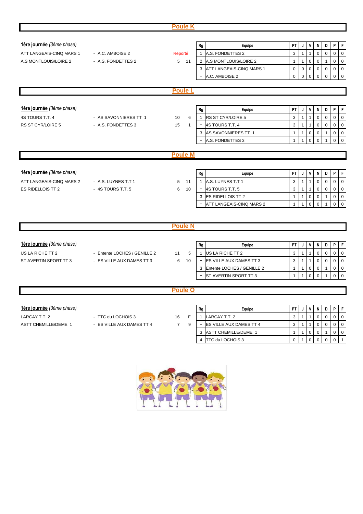|                           |                              | <b>Poule K</b>     |                                   |              |              |              |             |                |             |                |
|---------------------------|------------------------------|--------------------|-----------------------------------|--------------|--------------|--------------|-------------|----------------|-------------|----------------|
|                           |                              |                    |                                   |              |              |              |             |                |             |                |
| 1ère journée (3ème phase) |                              |                    | Rg<br>Equipe                      | PT           | J            | V            | N           | D.             | P           | F              |
| ATT LANGEAIS-CINQ MARS 1  | - A.C. AMBOISE 2             | Reporté            | A.S. FONDETTES 2<br>$\mathbf{1}$  | 3            | $\mathbf{1}$ | $\mathbf{1}$ | $\Omega$    | $\Omega$       | $\mathbf 0$ | $\mathbf 0$    |
| A.S MONTLOUIS/LOIRE 2     | - A.S. FONDETTES 2           | 5 <sub>11</sub>    | 2 A.S MONTLOUIS/LOIRE 2           | $\mathbf{1}$ | $\mathbf{1}$ | $\mathbf 0$  | $\mathbf 0$ | $\mathbf{1}$   | $\mathbf 0$ | $\mathbf 0$    |
|                           |                              |                    | 3 ATT LANGEAIS-CINQ MARS 1        | 0            | $\mathbf 0$  | $\mathbf 0$  | $\mathbf 0$ | $\mathbf 0$    | $\mathbf 0$ | $\mathbf 0$    |
|                           |                              |                    | A.C. AMBOISE 2                    | $\Omega$     | $\Omega$     | $\Omega$     | $\Omega$    | $\Omega$       | $\Omega$    | $\Omega$       |
|                           |                              |                    |                                   |              |              |              |             |                |             |                |
|                           |                              | <b>Poule L</b>     |                                   |              |              |              |             |                |             |                |
|                           |                              |                    |                                   |              |              |              |             |                |             |                |
| 1ère journée (3ème phase) |                              |                    | Rg<br>Equipe                      | PT           | J            | V            | N           | D              | P           | F              |
| 4S TOURS T.T. 4           | - AS SAVONNIERES TT 1        | 10<br>6            | RS ST CYR/LOIRE 5<br>$\mathbf{1}$ | 3            | $\mathbf{1}$ | $\mathbf{1}$ | $\mathbf 0$ | $\mathbf 0$    | $\mathbf 0$ | $\mathbf{0}$   |
| RS ST CYR/LOIRE 5         | - A.S. FONDETTES 3           | 15<br>$\mathbf{1}$ | 4S TOURS T.T. 4                   | 3            | 1            | $\mathbf{1}$ | $\mathbf 0$ | $\mathbf 0$    | $\mathbf 0$ | $\mathbf 0$    |
|                           |                              |                    | 3 AS SAVONNIERES TT 1             | $\mathbf{1}$ | 1            | $\mathbf 0$  | 0           |                | $\Omega$    | $\Omega$       |
|                           |                              |                    | A.S. FONDETTES 3                  | $\mathbf 1$  | 1            | $\mathbf 0$  | $\Omega$    | 1              | $\mathbf 0$ | $\mathbf 0$    |
|                           |                              |                    |                                   |              |              |              |             |                |             |                |
|                           |                              | <b>Poule M</b>     |                                   |              |              |              |             |                |             |                |
|                           |                              |                    |                                   |              |              |              |             |                |             |                |
| 1ère journée (3ème phase) |                              |                    | Rg<br>Equipe                      | PT           | J            | V            | N           | D              | P           | F              |
| ATT LANGEAIS-CINQ MARS 2  | - A.S. LUYNES T.T 1          | 11<br>5            | A.S. LUYNES T.T 1<br>$\mathbf{1}$ | 3            | $\mathbf{1}$ | 1            | $\Omega$    | $\mathbf 0$    | $\mathbf 0$ | $\mathbf 0$    |
| ES RIDELLOIS TT 2         | $-4S$ TOURS T.T. $5$         | 10<br>6            | 4S TOURS T.T. 5                   | 3            | 1            | $\mathbf{1}$ | $\mathbf 0$ | $\mathbf 0$    | $\mathbf 0$ | $\mathbf 0$    |
|                           |                              |                    | <b>ES RIDELLOIS TT 2</b><br>3     | 1            | $\mathbf{1}$ | $\mathbf 0$  | $\mathbf 0$ | $\mathbf{1}$   | $\mathbf 0$ | $\mathbf 0$    |
|                           |                              |                    | ATT LANGEAIS-CINQ MARS 2          | $\mathbf{1}$ | $\mathbf{1}$ | $\mathbf 0$  | $\mathbf 0$ | $\overline{1}$ | $\mathbf 0$ | $\overline{0}$ |
|                           |                              |                    |                                   |              |              |              |             |                |             |                |
|                           |                              |                    |                                   |              |              |              |             |                |             |                |
|                           |                              | <b>Poule N</b>     |                                   |              |              |              |             |                |             |                |
|                           |                              |                    |                                   |              |              |              |             |                |             |                |
| 1ère journée (3ème phase) |                              |                    | Rg<br>Equipe                      | PT           | J            | $\mathsf{v}$ | N           | D              | P           | l F            |
| US LA RICHE TT 2          | - Entente LOCHES / GENILLE 2 | 11<br>5            | US LA RICHE TT 2<br>$\mathbf{1}$  | 3            | $\mathbf{1}$ | $\mathbf{1}$ | $\mathbf 0$ | $\mathbf 0$    | $\mathbf 0$ | $\overline{0}$ |
| ST AVERTIN SPORT TT 3     | - ES VILLE AUX DAMES TT 3    | 6<br>10            | ES VILLE AUX DAMES TT 3           | 3            | $\mathbf{1}$ | $\mathbf{1}$ | $\mathsf 0$ | $\pmb{0}$      | $\mathsf 0$ | $\overline{0}$ |
|                           |                              |                    | Entente LOCHES / GENILLE 2<br>3   | $\mathbf{1}$ | $\mathbf{1}$ | $\mathbf 0$  | $\mathbf 0$ | 1              | $\mathbf 0$ | $\overline{0}$ |
|                           |                              |                    | ST AVERTIN SPORT TT 3             |              | 1            | $\Omega$     | $\Omega$    |                | $\Omega$    | $\Omega$       |
|                           |                              |                    |                                   |              |              |              |             |                |             |                |

### **Poule O**

| fere journée (3ème phase) |                           |    | Rg | Equipe                          | PT | v |  | PIF            |
|---------------------------|---------------------------|----|----|---------------------------------|----|---|--|----------------|
| LARCAY T.T. 2             | - TTC du LOCHOIS 3        | 16 |    | LARCAY T.T. 2                   |    |   |  | <b>0</b>       |
| ASTT CHEMILLE/DEME 1      | - ES VILLE AUX DAMES TT 4 |    |    | <b>IES VILLE AUX DAMES TT 4</b> |    |   |  | $\overline{0}$ |
|                           |                           |    |    | <b>ASTT CHEMILLE/DEME 1</b>     |    |   |  |                |
|                           |                           |    |    | <b>ITTC du LOCHOIS 3</b>        |    |   |  |                |